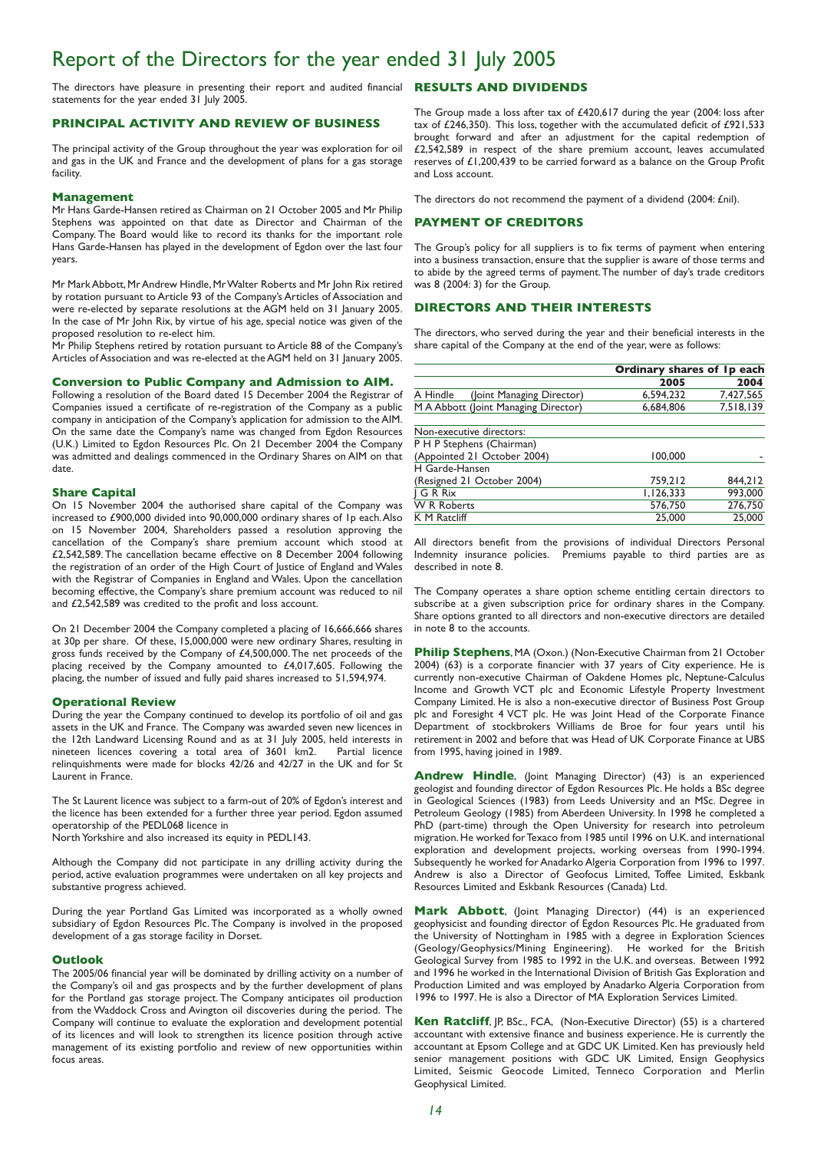## Report of the Directors for the year ended 31 July 2005

The directors have pleasure in presenting their report and audited financial **RESULTS AND DIVIDENDS** statements for the year ended 31 July 2005.

#### **PRINCIPAL ACTIVITY AND REVIEW OF BUSINESS**

The principal activity of the Group throughout the year was exploration for oil and gas in the UK and France and the development of plans for a gas storage facility.

#### **Management**

Mr Hans Garde-Hansen retired as Chairman on 21 October 2005 and Mr Philip Stephens was appointed on that date as Director and Chairman of the Company. The Board would like to record its thanks for the important role Hans Garde-Hansen has played in the development of Egdon over the last four years.

Mr Mark Abbott, Mr Andrew Hindle, Mr Walter Roberts and Mr John Rix retired by rotation pursuant to Article 93 of the Company's Articles of Association and were re-elected by separate resolutions at the AGM held on 31 January 2005. In the case of Mr John Rix, by virtue of his age, special notice was given of the proposed resolution to re-elect him.

Mr Philip Stephens retired by rotation pursuant to Article 88 of the Company's Articles of Association and was re-elected at the AGM held on 31 January 2005.

#### **Conversion to Public Company and Admission to AIM.**

Following a resolution of the Board dated 15 December 2004 the Registrar of Companies issued a certificate of re-registration of the Company as a public company in anticipation of the Company's application for admission to the AIM. On the same date the Company's name was changed from Egdon Resources (U.K.) Limited to Egdon Resources Plc. On 21 December 2004 the Company was admitted and dealings commenced in the Ordinary Shares on AIM on that date.

#### **Share Capital**

On 15 November 2004 the authorised share capital of the Company was increased to £900,000 divided into 90,000,000 ordinary shares of 1p each.Also on 15 November 2004, Shareholders passed a resolution approving the cancellation of the Company's share premium account which stood at £2,542,589.The cancellation became effective on 8 December 2004 following the registration of an order of the High Court of Justice of England and Wales with the Registrar of Companies in England and Wales. Upon the cancellation becoming effective, the Company's share premium account was reduced to nil and £2,542,589 was credited to the profit and loss account.

On 21 December 2004 the Company completed a placing of 16,666,666 shares at 30p per share. Of these, 15,000,000 were new ordinary Shares, resulting in gross funds received by the Company of £4,500,000.The net proceeds of the placing received by the Company amounted to £4,017,605. Following the placing, the number of issued and fully paid shares increased to 51,594,974.

#### **Operational Review**

During the year the Company continued to develop its portfolio of oil and gas assets in the UK and France. The Company was awarded seven new licences in the 12th Landward Licensing Round and as at 31 July 2005, held interests in nineteen licences covering a total area of 3601 km2. Partial licence relinquishments were made for blocks 42/26 and 42/27 in the UK and for St Laurent in France.

The St Laurent licence was subject to a farm-out of 20% of Egdon's interest and the licence has been extended for a further three year period. Egdon assumed operatorship of the PEDL068 licence in North Yorkshire and also increased its equity in PEDL143.

Although the Company did not participate in any drilling activity during the period, active evaluation programmes were undertaken on all key projects and substantive progress achieved.

During the year Portland Gas Limited was incorporated as a wholly owned subsidiary of Egdon Resources Plc.The Company is involved in the proposed development of a gas storage facility in Dorset.

#### **Outlook**

The 2005/06 financial year will be dominated by drilling activity on a number of the Company's oil and gas prospects and by the further development of plans for the Portland gas storage project. The Company anticipates oil production from the Waddock Cross and Avington oil discoveries during the period. The Company will continue to evaluate the exploration and development potential of its licences and will look to strengthen its licence position through active management of its existing portfolio and review of new opportunities within focus areas.

The Group made a loss after tax of £420,617 during the year (2004: loss after tax of £246,350). This loss, together with the accumulated deficit of £921,533 brought forward and after an adjustment for the capital redemption of £2,542,589 in respect of the share premium account, leaves accumulated reserves of £1,200,439 to be carried forward as a balance on the Group Profit and Loss account.

The directors do not recommend the payment of a dividend (2004: £nil).

#### **PAYMENT OF CREDITORS**

The Group's policy for all suppliers is to fix terms of payment when entering into a business transaction, ensure that the supplier is aware of those terms and to abide by the agreed terms of payment.The number of day's trade creditors was 8 (2004: 3) for the Group.

### **DIRECTORS AND THEIR INTERESTS**

The directors, who served during the year and their beneficial interests in the share capital of the Company at the end of the year, were as follows:

| 2005      | 2004      |
|-----------|-----------|
| 6.594.232 | 7.427.565 |
| 6,684,806 | 7,518,139 |
|           |           |
|           |           |
| 100,000   |           |
|           |           |
| 759,212   | 844,212   |
| 1,126,333 | 993,000   |
| 576,750   | 276,750   |
| 25,000    | 25,000    |
|           |           |

All directors benefit from the provisions of individual Directors Personal Indemnity insurance policies. Premiums payable to third parties are as described in note 8.

The Company operates a share option scheme entitling certain directors to subscribe at a given subscription price for ordinary shares in the Company. Share options granted to all directors and non-executive directors are detailed in note 8 to the accounts.

**Philip Stephens**, MA (Oxon.) (Non-Executive Chairman from 21 October 2004) (63) is a corporate financier with 37 years of City experience. He is currently non-executive Chairman of Oakdene Homes plc, Neptune-Calculus Income and Growth VCT plc and Economic Lifestyle Property Investment Company Limited. He is also a non-executive director of Business Post Group plc and Foresight 4 VCT plc. He was Joint Head of the Corporate Finance Department of stockbrokers Williams de Broe for four years until his retirement in 2002 and before that was Head of UK Corporate Finance at UBS from 1995, having joined in 1989.

**Andrew Hindle**, (Joint Managing Director) (43) is an experienced geologist and founding director of Egdon Resources Plc. He holds a BSc degree in Geological Sciences (1983) from Leeds University and an MSc. Degree in Petroleum Geology (1985) from Aberdeen University. In 1998 he completed a PhD (part-time) through the Open University for research into petroleum migration. He worked for Texaco from 1985 until 1996 on U.K. and international exploration and development projects, working overseas from 1990-1994. Subsequently he worked for Anadarko Algeria Corporation from 1996 to 1997. Andrew is also a Director of Geofocus Limited, Toffee Limited, Eskbank Resources Limited and Eskbank Resources (Canada) Ltd.

**Mark Abbott**, (Joint Managing Director) (44) is an experienced geophysicist and founding director of Egdon Resources Plc. He graduated from the University of Nottingham in 1985 with a degree in Exploration Sciences (Geology/Geophysics/Mining Engineering). He worked for the British Geological Survey from 1985 to 1992 in the U.K. and overseas. Between 1992 and 1996 he worked in the International Division of British Gas Exploration and Production Limited and was employed by Anadarko Algeria Corporation from 1996 to 1997. He is also a Director of MA Exploration Services Limited.

**Ken Ratcliff**, JP, BSc., FCA, (Non-Executive Director) (55) is a chartered accountant with extensive finance and business experience. He is currently the accountant at Epsom College and at GDC UK Limited. Ken has previously held senior management positions with GDC UK Limited, Ensign Geophysics Limited, Seismic Geocode Limited, Tenneco Corporation and Merlin Geophysical Limited.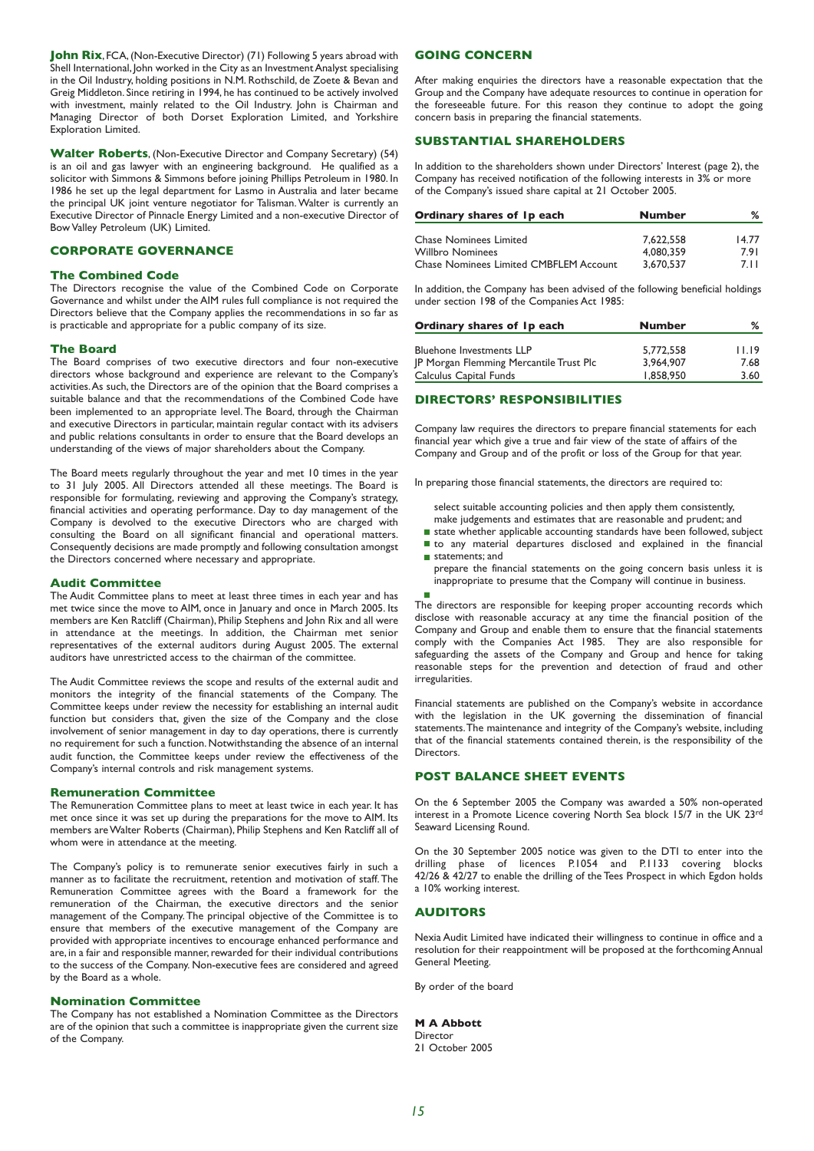**John Rix**, FCA, (Non-Executive Director) (71) Following 5 years abroad with Shell International, John worked in the City as an Investment Analyst specialising in the Oil Industry, holding positions in N.M. Rothschild, de Zoete & Bevan and Greig Middleton. Since retiring in 1994, he has continued to be actively involved with investment, mainly related to the Oil Industry. John is Chairman and Managing Director of both Dorset Exploration Limited, and Yorkshire Exploration Limited.

**Walter Roberts**, (Non-Executive Director and Company Secretary) (54) is an oil and gas lawyer with an engineering background. He qualified as a solicitor with Simmons & Simmons before joining Phillips Petroleum in 1980. In 1986 he set up the legal department for Lasmo in Australia and later became the principal UK joint venture negotiator for Talisman. Walter is currently an Executive Director of Pinnacle Energy Limited and a non-executive Director of Bow Valley Petroleum (UK) Limited.

### **CORPORATE GOVERNANCE**

#### **The Combined Code**

The Directors recognise the value of the Combined Code on Corporate Governance and whilst under the AIM rules full compliance is not required the Directors believe that the Company applies the recommendations in so far as is practicable and appropriate for a public company of its size.

#### **The Board**

The Board comprises of two executive directors and four non-executive directors whose background and experience are relevant to the Company's activities.As such, the Directors are of the opinion that the Board comprises a suitable balance and that the recommendations of the Combined Code have been implemented to an appropriate level. The Board, through the Chairman and executive Directors in particular, maintain regular contact with its advisers and public relations consultants in order to ensure that the Board develops an understanding of the views of major shareholders about the Company.

The Board meets regularly throughout the year and met 10 times in the year to 31 July 2005. All Directors attended all these meetings. The Board is responsible for formulating, reviewing and approving the Company's strategy, financial activities and operating performance. Day to day management of the Company is devolved to the executive Directors who are charged with consulting the Board on all significant financial and operational matters. Consequently decisions are made promptly and following consultation amongst the Directors concerned where necessary and appropriate.

#### **Audit Committee**

The Audit Committee plans to meet at least three times in each year and has met twice since the move to AIM, once in January and once in March 2005. Its members are Ken Ratcliff (Chairman), Philip Stephens and John Rix and all were in attendance at the meetings. In addition, the Chairman met senior representatives of the external auditors during August 2005. The external auditors have unrestricted access to the chairman of the committee.

The Audit Committee reviews the scope and results of the external audit and monitors the integrity of the financial statements of the Company. The Committee keeps under review the necessity for establishing an internal audit function but considers that, given the size of the Company and the close involvement of senior management in day to day operations, there is currently no requirement for such a function. Notwithstanding the absence of an internal audit function, the Committee keeps under review the effectiveness of the Company's internal controls and risk management systems.

#### **Remuneration Committee**

The Remuneration Committee plans to meet at least twice in each year. It has met once since it was set up during the preparations for the move to AIM. Its members are Walter Roberts (Chairman), Philip Stephens and Ken Ratcliff all of whom were in attendance at the meeting.

The Company's policy is to remunerate senior executives fairly in such a manner as to facilitate the recruitment, retention and motivation of staff.The Remuneration Committee agrees with the Board a framework for the remuneration of the Chairman, the executive directors and the senior management of the Company.The principal objective of the Committee is to ensure that members of the executive management of the Company are provided with appropriate incentives to encourage enhanced performance and are, in a fair and responsible manner, rewarded for their individual contributions to the success of the Company. Non-executive fees are considered and agreed by the Board as a whole.

#### **Nomination Committee**

The Company has not established a Nomination Committee as the Directors are of the opinion that such a committee is inappropriate given the current size of the Company.

### **GOING CONCERN**

After making enquiries the directors have a reasonable expectation that the Group and the Company have adequate resources to continue in operation for the foreseeable future. For this reason they continue to adopt the going concern basis in preparing the financial statements.

#### **SUBSTANTIAL SHAREHOLDERS**

In addition to the shareholders shown under Directors' Interest (page 2), the Company has received notification of the following interests in 3% or more of the Company's issued share capital at 21 October 2005.

| <b>Number</b> | ℅                                   |
|---------------|-------------------------------------|
|               |                                     |
|               | 14.77<br>7.91                       |
|               | 7 1 1                               |
|               | 7.622.558<br>4.080.359<br>3.670.537 |

In addition, the Company has been advised of the following beneficial holdings under section 198 of the Companies Act 1985:

| Ordinary shares of Ip each                     | <b>Number</b> |       |
|------------------------------------------------|---------------|-------|
|                                                |               |       |
| <b>Bluehone Investments LLP</b>                | 5,772,558     | 11.19 |
| <b>IP Morgan Flemming Mercantile Trust Plc</b> | 3.964.907     | 7.68  |
| Calculus Capital Funds                         | 1.858,950     | 3.60  |

#### **DIRECTORS' RESPONSIBILITIES**

Company law requires the directors to prepare financial statements for each financial year which give a true and fair view of the state of affairs of the Company and Group and of the profit or loss of the Group for that year.

In preparing those financial statements, the directors are required to:

- select suitable accounting policies and then apply them consistently, make judgements and estimates that are reasonable and prudent; and
- state whether applicable accounting standards have been followed, subject
- to any material departures disclosed and explained in the financial statements; and
- prepare the financial statements on the going concern basis unless it is inappropriate to presume that the Company will continue in business.
	-

r.

The directors are responsible for keeping proper accounting records which disclose with reasonable accuracy at any time the financial position of the Company and Group and enable them to ensure that the financial statements comply with the Companies Act 1985. They are also responsible for safeguarding the assets of the Company and Group and hence for taking reasonable steps for the prevention and detection of fraud and other irregularities.

Financial statements are published on the Company's website in accordance with the legislation in the UK governing the dissemination of financial statements.The maintenance and integrity of the Company's website, including that of the financial statements contained therein, is the responsibility of the **Directors** 

#### **POST BALANCE SHEET EVENTS**

On the 6 September 2005 the Company was awarded a 50% non-operated interest in a Promote Licence covering North Sea block 15/7 in the UK 23rd Seaward Licensing Round.

On the 30 September 2005 notice was given to the DTI to enter into the drilling phase of licences P.1054 and P.1133 covering blocks 42/26 & 42/27 to enable the drilling of the Tees Prospect in which Egdon holds a 10% working interest.

#### **AUDITORS**

Nexia Audit Limited have indicated their willingness to continue in office and a resolution for their reappointment will be proposed at the forthcoming Annual General Meeting.

By order of the board

#### **M A Abbott**

Director 21 October 2005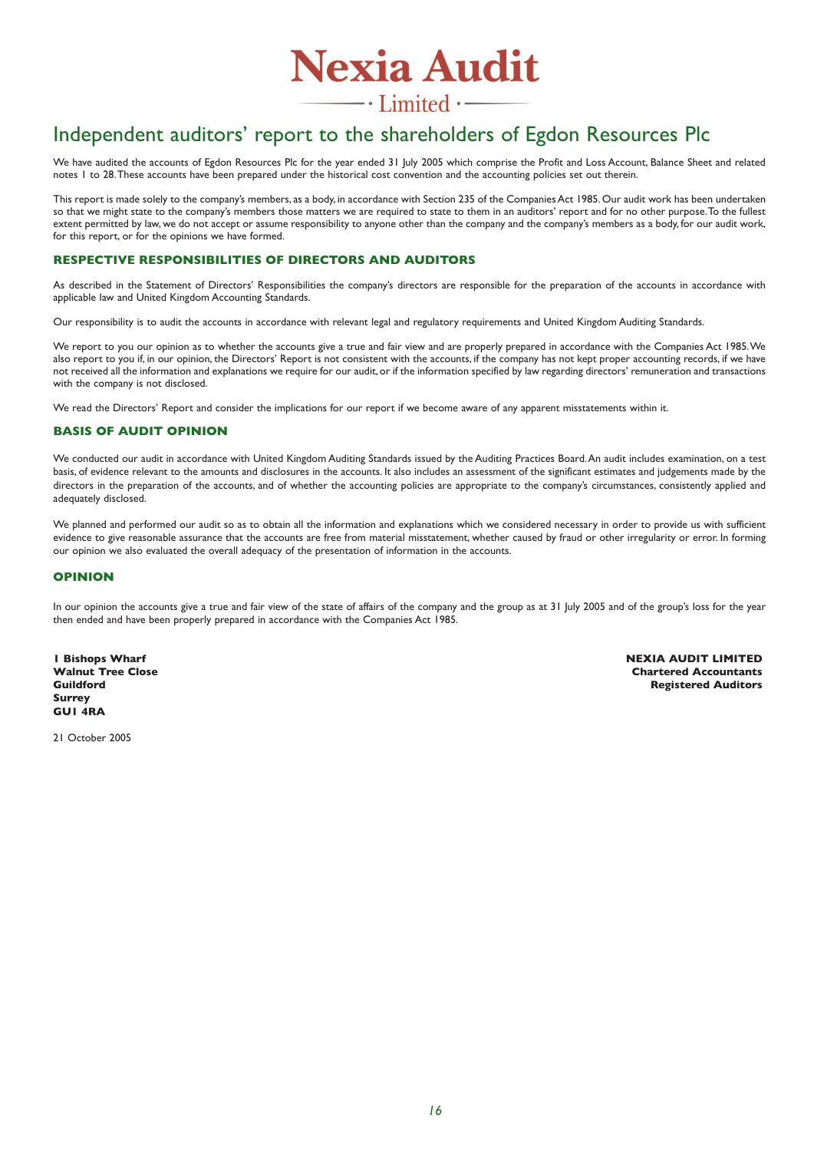

 $\overline{\phantom{a}}$  . Limited  $\cdot$  —

## Independent auditors' report to the shareholders of Egdon Resources Plc

We have audited the accounts of Egdon Resources Plc for the year ended 31 July 2005 which comprise the Profit and Loss Account, Balance Sheet and related notes 1 to 28.These accounts have been prepared under the historical cost convention and the accounting policies set out therein.

This report is made solely to the company's members, as a body, in accordance with Section 235 of the Companies Act 1985. Our audit work has been undertaken so that we might state to the company's members those matters we are required to state to them in an auditors' report and for no other purpose.To the fullest extent permitted by law, we do not accept or assume responsibility to anyone other than the company and the company's members as a body, for our audit work, for this report, or for the opinions we have formed.

### **RESPECTIVE RESPONSIBILITIES OF DIRECTORS AND AUDITORS**

As described in the Statement of Directors' Responsibilities the company's directors are responsible for the preparation of the accounts in accordance with applicable law and United Kingdom Accounting Standards.

Our responsibility is to audit the accounts in accordance with relevant legal and regulatory requirements and United Kingdom Auditing Standards.

We report to you our opinion as to whether the accounts give a true and fair view and are properly prepared in accordance with the Companies Act 1985.We also report to you if, in our opinion, the Directors' Report is not consistent with the accounts, if the company has not kept proper accounting records, if we have not received all the information and explanations we require for our audit,or if the information specified by law regarding directors' remuneration and transactions with the company is not disclosed.

We read the Directors' Report and consider the implications for our report if we become aware of any apparent misstatements within it.

## **BASIS OF AUDIT OPINION**

We conducted our audit in accordance with United Kingdom Auditing Standards issued by the Auditing Practices Board. An audit includes examination, on a test basis, of evidence relevant to the amounts and disclosures in the accounts. It also includes an assessment of the significant estimates and judgements made by the directors in the preparation of the accounts, and of whether the accounting policies are appropriate to the company's circumstances, consistently applied and adequately disclosed.

We planned and performed our audit so as to obtain all the information and explanations which we considered necessary in order to provide us with sufficient evidence to give reasonable assurance that the accounts are free from material misstatement, whether caused by fraud or other irregularity or error. In forming our opinion we also evaluated the overall adequacy of the presentation of information in the accounts.

#### **OPINION**

In our opinion the accounts give a true and fair view of the state of affairs of the company and the group as at 31 July 2005 and of the group's loss for the year then ended and have been properly prepared in accordance with the Companies Act 1985.

**Surrey GU1 4RA**

**1 Bishops Wharf NEXIA AUDIT LIMITED Walnut Tree Close Chartered Accountants Registered Auditors** 

21 October 2005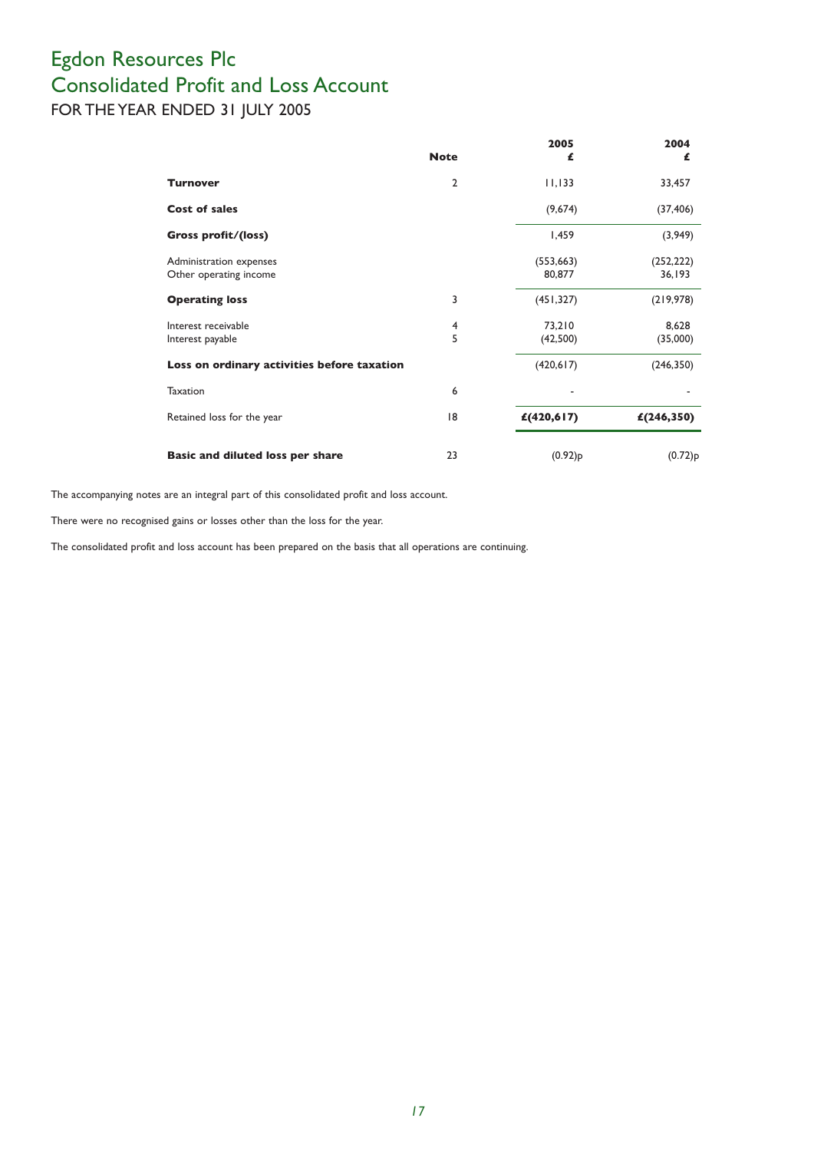## Egdon Resources Plc Consolidated Profit and Loss Account FOR THE YEAR ENDED 31 JULY 2005

|                                                   | <b>Note</b>         | 2005<br>£            | 2004<br>£            |
|---------------------------------------------------|---------------------|----------------------|----------------------|
| <b>Turnover</b>                                   | $\mathbf{2}$        | 11,133               | 33,457               |
| <b>Cost of sales</b>                              |                     | (9,674)              | (37, 406)            |
| Gross profit/(loss)                               |                     | 1,459                | (3,949)              |
| Administration expenses<br>Other operating income |                     | (553, 663)<br>80,877 | (252, 222)<br>36,193 |
| <b>Operating loss</b>                             | 3                   | (451, 327)           | (219, 978)           |
| Interest receivable<br>Interest payable           | $\overline{4}$<br>5 | 73,210<br>(42,500)   | 8,628<br>(35,000)    |
| Loss on ordinary activities before taxation       |                     | (420, 617)           | (246, 350)           |
| Taxation                                          | 6                   |                      |                      |
| Retained loss for the year                        | 8                   | £(420,617)           | £(246,350)           |
| Basic and diluted loss per share                  | 23                  | $(0.92)$ p           | $(0.72)$ p           |

The accompanying notes are an integral part of this consolidated profit and loss account.

There were no recognised gains or losses other than the loss for the year.

The consolidated profit and loss account has been prepared on the basis that all operations are continuing.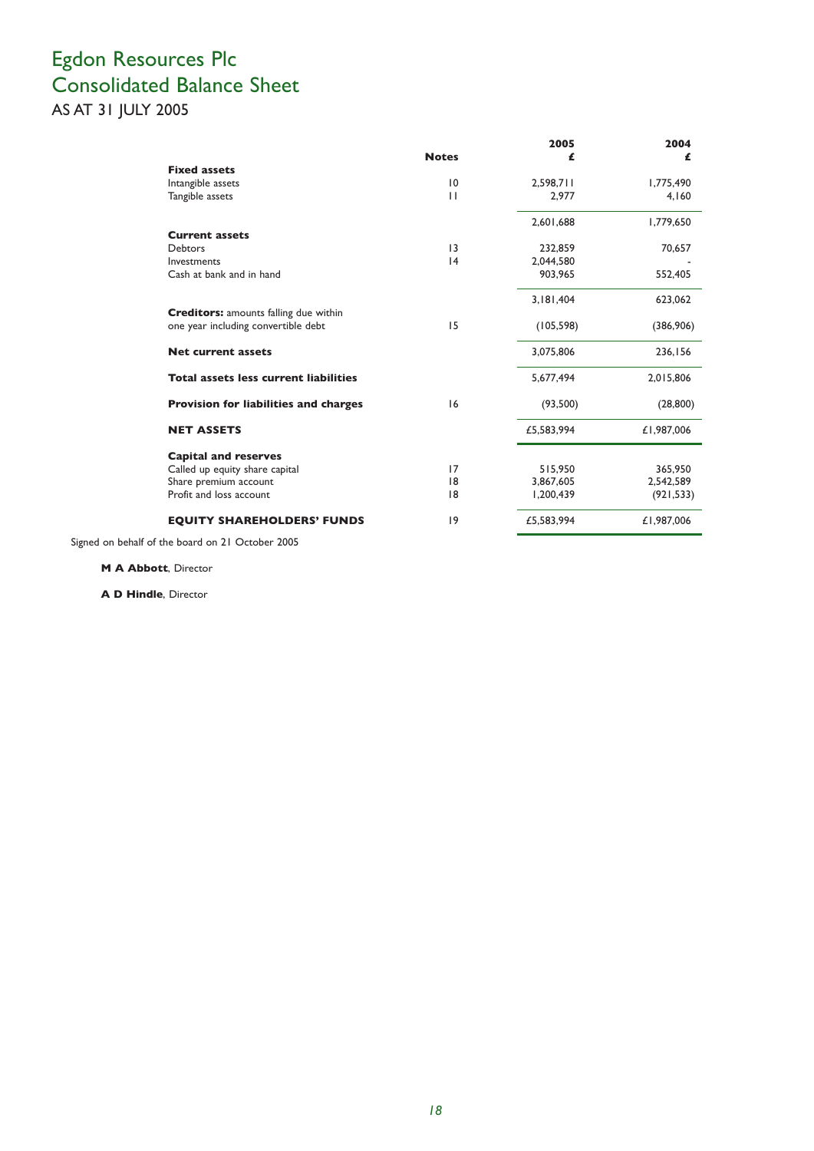## Egdon Resources Plc Consolidated Balance Sheet AS AT 31 JULY 2005

|                                              |              | 2005       | 2004       |
|----------------------------------------------|--------------|------------|------------|
|                                              | <b>Notes</b> | £          | £          |
| <b>Fixed assets</b>                          |              |            |            |
| Intangible assets                            | 10           | 2,598,711  | 1,775,490  |
| Tangible assets                              | $\mathbf{H}$ | 2.977      | 4.160      |
|                                              |              | 2,601,688  | 1,779,650  |
| <b>Current assets</b>                        |              |            |            |
| <b>Debtors</b>                               | 13           | 232.859    | 70,657     |
| Investments                                  | 4            | 2,044,580  |            |
| Cash at bank and in hand                     |              | 903.965    | 552,405    |
|                                              |              | 3,181,404  | 623,062    |
| <b>Creditors:</b> amounts falling due within |              |            |            |
| one year including convertible debt          | 15           | (105, 598) | (386,906)  |
| <b>Net current assets</b>                    |              | 3,075,806  | 236,156    |
| <b>Total assets less current liabilities</b> |              | 5.677.494  | 2.015.806  |
| <b>Provision for liabilities and charges</b> | 16           | (93,500)   | (28, 800)  |
| <b>NET ASSETS</b>                            |              | £5,583,994 | £1,987,006 |
| <b>Capital and reserves</b>                  |              |            |            |
| Called up equity share capital               | 17           | 515,950    | 365,950    |
| Share premium account                        | 18           | 3,867,605  | 2,542,589  |
| Profit and loss account                      | 8            | 1,200,439  | (921, 533) |
| <b>EQUITY SHAREHOLDERS' FUNDS</b>            | 9            | £5,583,994 | £1,987,006 |

Signed on behalf of the board on 21 October 2005

**M A Abbott**, Director

**A D Hindle**, Director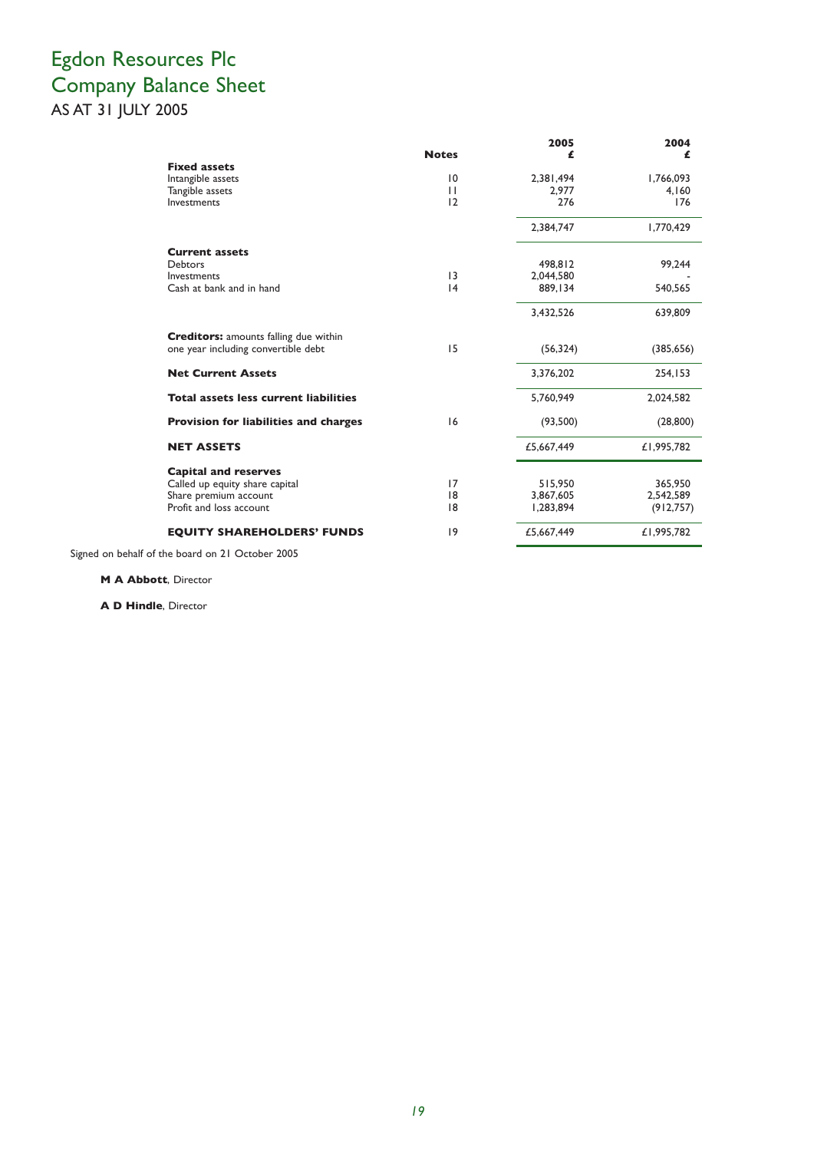## Egdon Resources Plc Company Balance Sheet AS AT 31 JULY 2005

|                                              | <b>Notes</b>    | 2005       | 2004       |
|----------------------------------------------|-----------------|------------|------------|
| <b>Fixed assets</b>                          |                 | £          | £          |
| Intangible assets                            | 10              | 2,381,494  | 1,766,093  |
| Tangible assets                              | $\mathbf{H}$    | 2.977      | 4.160      |
| Investments                                  | 12              | 276        | 176        |
|                                              |                 | 2,384,747  | 1,770,429  |
| <b>Current assets</b>                        |                 |            |            |
| <b>Debtors</b>                               |                 | 498,812    | 99,244     |
| Investments                                  | $\overline{13}$ | 2,044,580  |            |
| Cash at bank and in hand                     | 4               | 889.134    | 540,565    |
|                                              |                 | 3,432,526  | 639,809    |
| <b>Creditors:</b> amounts falling due within |                 |            |            |
| one year including convertible debt          | 15              | (56, 324)  | (385, 656) |
| <b>Net Current Assets</b>                    |                 | 3,376,202  | 254,153    |
| <b>Total assets less current liabilities</b> |                 | 5.760.949  | 2,024,582  |
| <b>Provision for liabilities and charges</b> | 16              | (93,500)   | (28, 800)  |
| <b>NET ASSETS</b>                            |                 | £5,667,449 | £1,995,782 |
| <b>Capital and reserves</b>                  |                 |            |            |
| Called up equity share capital               | 17              | 515,950    | 365,950    |
| Share premium account                        | 8               | 3,867,605  | 2,542,589  |
| Profit and loss account                      | 8               | 1,283,894  | (912, 757) |
| <b>EQUITY SHAREHOLDERS' FUNDS</b>            | 9               | £5,667,449 | £1,995,782 |

Signed on behalf of the board on 21 October 2005

**M A Abbott**, Director

**A D Hindle**, Director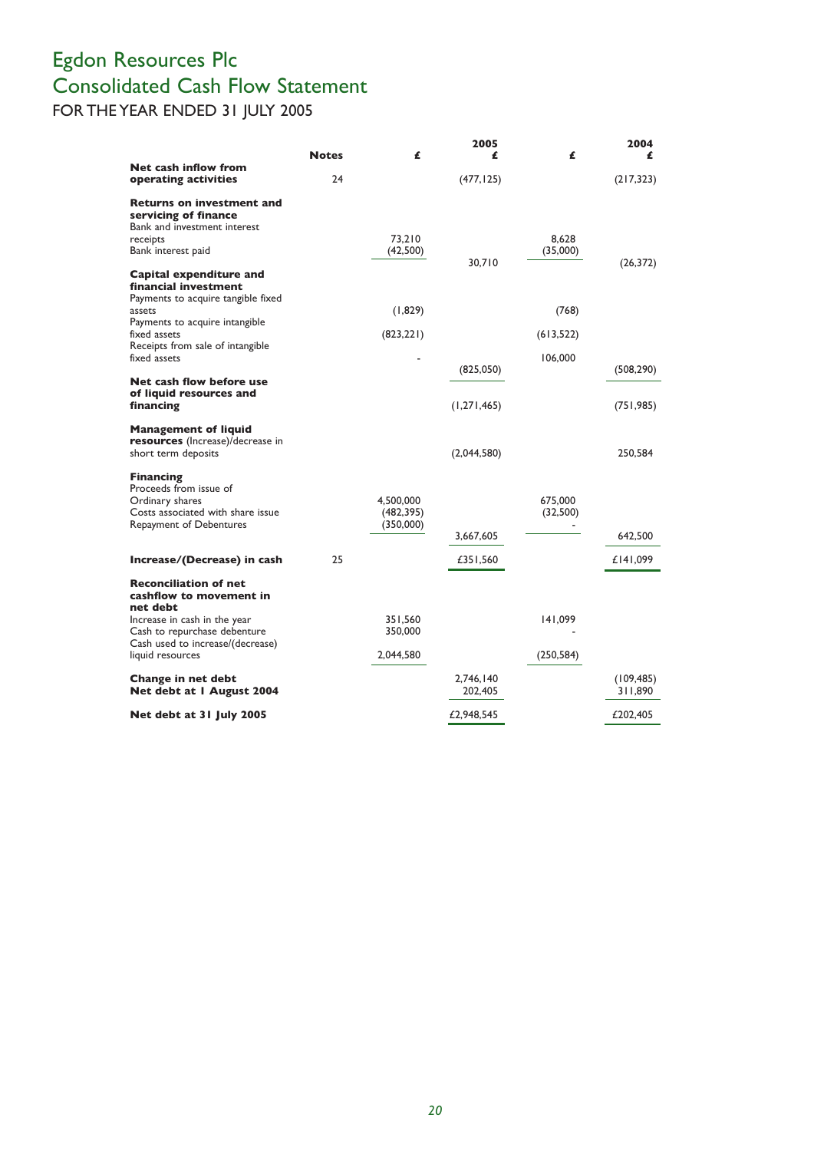## Egdon Resources Plc Consolidated Cash Flow Statement FOR THE YEAR ENDED 31 JULY 2005

|                                                                                                                                                   | <b>Notes</b> | £                                    | 2005<br>£            | £                   | 2004<br>£             |
|---------------------------------------------------------------------------------------------------------------------------------------------------|--------------|--------------------------------------|----------------------|---------------------|-----------------------|
| Net cash inflow from<br>operating activities                                                                                                      | 24           |                                      | (477, 125)           |                     | (217, 323)            |
| <b>Returns on investment and</b><br>servicing of finance<br>Bank and investment interest<br>receipts<br>Bank interest paid                        |              | 73.210<br>(42,500)                   |                      | 8.628<br>(35,000)   |                       |
| Capital expenditure and<br>financial investment<br>Payments to acquire tangible fixed<br>assets<br>Payments to acquire intangible<br>fixed assets |              | (1,829)<br>(823, 221)                | 30.710               | (768)<br>(613, 522) | (26, 372)             |
| Receipts from sale of intangible<br>fixed assets                                                                                                  |              |                                      |                      | 106,000             |                       |
| Net cash flow before use                                                                                                                          |              |                                      | (825,050)            |                     | (508, 290)            |
| of liquid resources and<br>financing                                                                                                              |              |                                      | (1,271,465)          |                     | (751, 985)            |
| <b>Management of liquid</b><br><b>resources</b> (Increase)/decrease in<br>short term deposits                                                     |              |                                      | (2,044,580)          |                     | 250,584               |
| <b>Financing</b><br>Proceeds from issue of<br>Ordinary shares<br>Costs associated with share issue<br>Repayment of Debentures                     |              | 4,500,000<br>(482, 395)<br>(350,000) | 3,667,605            | 675,000<br>(32,500) | 642,500               |
| Increase/(Decrease) in cash                                                                                                                       | 25           |                                      | £351,560             |                     | £141,099              |
| <b>Reconciliation of net</b><br>cashflow to movement in<br>net debt<br>Increase in cash in the year<br>Cash to repurchase debenture               |              | 351,560<br>350,000                   |                      | 141,099             |                       |
| Cash used to increase/(decrease)<br>liquid resources                                                                                              |              | 2,044,580                            |                      | (250, 584)          |                       |
| Change in net debt<br>Net debt at I August 2004                                                                                                   |              |                                      | 2.746.140<br>202,405 |                     | (109, 485)<br>311,890 |
| Net debt at 31 July 2005                                                                                                                          |              |                                      | £2,948,545           |                     | £202,405              |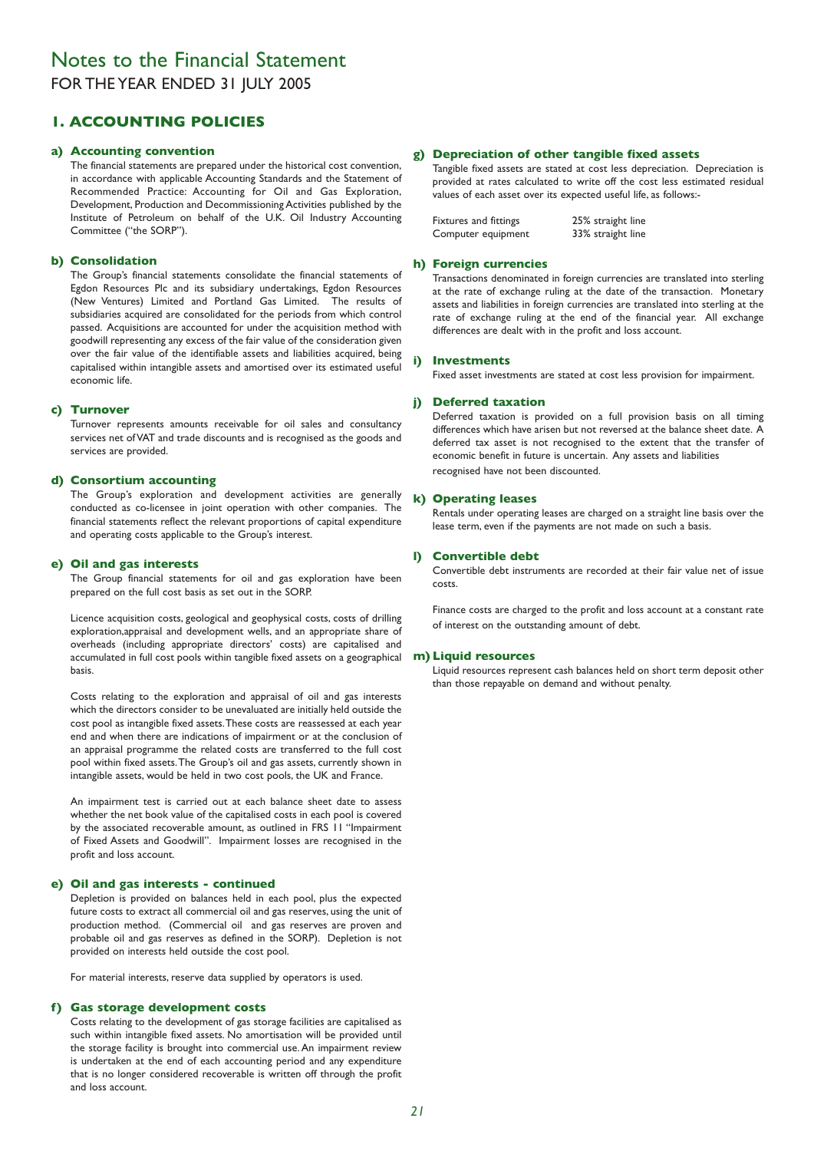## Notes to the Financial Statement FOR THE YEAR ENDED 31 JULY 2005

## **1. ACCOUNTING POLICIES**

#### **a) Accounting convention**

The financial statements are prepared under the historical cost convention, in accordance with applicable Accounting Standards and the Statement of Recommended Practice: Accounting for Oil and Gas Exploration, Development, Production and Decommissioning Activities published by the Institute of Petroleum on behalf of the U.K. Oil Industry Accounting Committee ("the SORP").

#### **b) Consolidation**

The Group's financial statements consolidate the financial statements of Egdon Resources Plc and its subsidiary undertakings, Egdon Resources (New Ventures) Limited and Portland Gas Limited. The results of subsidiaries acquired are consolidated for the periods from which control passed. Acquisitions are accounted for under the acquisition method with goodwill representing any excess of the fair value of the consideration given over the fair value of the identifiable assets and liabilities acquired, being capitalised within intangible assets and amortised over its estimated useful economic life.

#### **c) Turnover**

Turnover represents amounts receivable for oil sales and consultancy services net of VAT and trade discounts and is recognised as the goods and services are provided.

#### **d) Consortium accounting**

The Group's exploration and development activities are generally conducted as co-licensee in joint operation with other companies. The financial statements reflect the relevant proportions of capital expenditure and operating costs applicable to the Group's interest.

#### **e) Oil and gas interests**

The Group financial statements for oil and gas exploration have been prepared on the full cost basis as set out in the SORP.

Licence acquisition costs, geological and geophysical costs, costs of drilling exploration,appraisal and development wells, and an appropriate share of overheads (including appropriate directors' costs) are capitalised and accumulated in full cost pools within tangible fixed assets on a geographical basis.

Costs relating to the exploration and appraisal of oil and gas interests which the directors consider to be unevaluated are initially held outside the cost pool as intangible fixed assets.These costs are reassessed at each year end and when there are indications of impairment or at the conclusion of an appraisal programme the related costs are transferred to the full cost pool within fixed assets.The Group's oil and gas assets, currently shown in intangible assets, would be held in two cost pools, the UK and France.

An impairment test is carried out at each balance sheet date to assess whether the net book value of the capitalised costs in each pool is covered by the associated recoverable amount, as outlined in FRS 11 "Impairment of Fixed Assets and Goodwill". Impairment losses are recognised in the profit and loss account.

#### **e) Oil and gas interests - continued**

Depletion is provided on balances held in each pool, plus the expected future costs to extract all commercial oil and gas reserves, using the unit of production method. (Commercial oil and gas reserves are proven and probable oil and gas reserves as defined in the SORP). Depletion is not provided on interests held outside the cost pool.

For material interests, reserve data supplied by operators is used.

#### **f) Gas storage development costs**

Costs relating to the development of gas storage facilities are capitalised as such within intangible fixed assets. No amortisation will be provided until the storage facility is brought into commercial use. An impairment review is undertaken at the end of each accounting period and any expenditure that is no longer considered recoverable is written off through the profit and loss account.

### **g) Depreciation of other tangible fixed assets**

Tangible fixed assets are stated at cost less depreciation. Depreciation is provided at rates calculated to write off the cost less estimated residual values of each asset over its expected useful life, as follows:-

| Fixtures and fittings | 25% straight line |
|-----------------------|-------------------|
| Computer equipment    | 33% straight line |

#### **h) Foreign currencies**

Transactions denominated in foreign currencies are translated into sterling at the rate of exchange ruling at the date of the transaction. Monetary assets and liabilities in foreign currencies are translated into sterling at the rate of exchange ruling at the end of the financial year. All exchange differences are dealt with in the profit and loss account.

#### **i) Investments**

Fixed asset investments are stated at cost less provision for impairment.

#### **j) Deferred taxation**

Deferred taxation is provided on a full provision basis on all timing differences which have arisen but not reversed at the balance sheet date. A deferred tax asset is not recognised to the extent that the transfer of economic benefit in future is uncertain. Any assets and liabilities recognised have not been discounted.

#### **k) Operating leases**

Rentals under operating leases are charged on a straight line basis over the lease term, even if the payments are not made on such a basis.

#### **l) Convertible debt**

Convertible debt instruments are recorded at their fair value net of issue costs.

Finance costs are charged to the profit and loss account at a constant rate of interest on the outstanding amount of debt.

#### **m) Liquid resources**

Liquid resources represent cash balances held on short term deposit other than those repayable on demand and without penalty.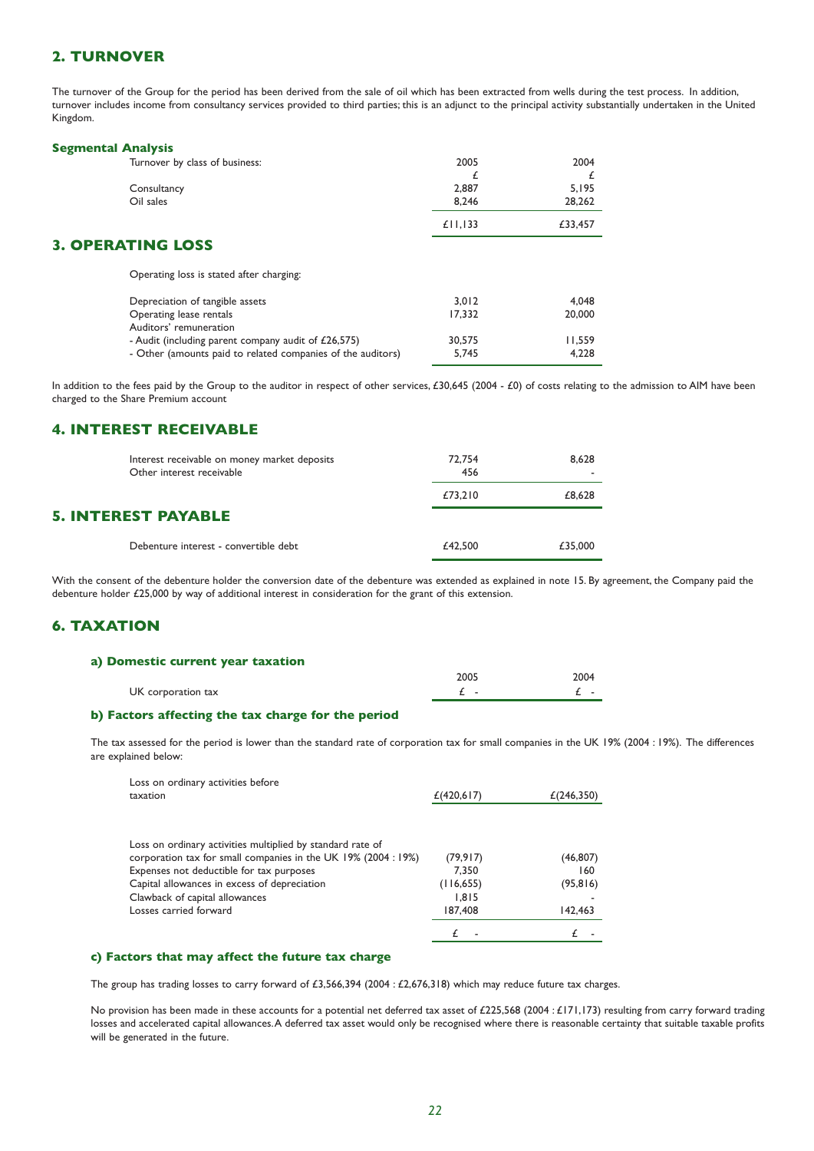## **2. TURNOVER**

The turnover of the Group for the period has been derived from the sale of oil which has been extracted from wells during the test process. In addition, turnover includes income from consultancy services provided to third parties; this is an adjunct to the principal activity substantially undertaken in the United Kingdom.

#### **Segmental Analysis**

| Turnover by class of business:                              | 2005    | 2004    |
|-------------------------------------------------------------|---------|---------|
|                                                             | £       |         |
| Consultancy                                                 | 2,887   | 5.195   |
| Oil sales                                                   | 8,246   | 28,262  |
|                                                             | £11,133 | £33,457 |
| <b>3. OPERATING LOSS</b>                                    |         |         |
| Operating loss is stated after charging:                    |         |         |
| Depreciation of tangible assets                             | 3.012   | 4.048   |
| Operating lease rentals                                     | 17.332  | 20,000  |
| Auditors' remuneration                                      |         |         |
| - Audit (including parent company audit of £26,575)         | 30,575  | 11,559  |
| - Other (amounts paid to related companies of the auditors) | 5.745   | 4.228   |

In addition to the fees paid by the Group to the auditor in respect of other services, £30,645 (2004 - £0) of costs relating to the admission to AIM have been charged to the Share Premium account

## **4. INTEREST RECEIVABLE**

| Interest receivable on money market deposits<br>Other interest receivable | 72.754<br>456 | 8.628   |
|---------------------------------------------------------------------------|---------------|---------|
|                                                                           | £73,210       | £8.628  |
| <b>5. INTEREST PAYABLE</b>                                                |               |         |
| Debenture interest - convertible debt                                     | £42,500       | £35,000 |

With the consent of the debenture holder the conversion date of the debenture was extended as explained in note 15. By agreement, the Company paid the debenture holder £25,000 by way of additional interest in consideration for the grant of this extension.

## **6. TAXATION**

| a) Domestic current year taxation |      |      |
|-----------------------------------|------|------|
|                                   | 2005 | 2004 |
| UK corporation tax                |      |      |

#### **b) Factors affecting the tax charge for the period**

The tax assessed for the period is lower than the standard rate of corporation tax for small companies in the UK 19% (2004 : 19%). The differences are explained below:

| Loss on ordinary activities before                           |            |            |
|--------------------------------------------------------------|------------|------------|
| taxation                                                     | £(420,617) | £(246,350) |
|                                                              |            |            |
|                                                              |            |            |
| Loss on ordinary activities multiplied by standard rate of   |            |            |
| corporation tax for small companies in the UK 19% (2004:19%) | (79,917)   | (46, 807)  |
| Expenses not deductible for tax purposes                     | 7.350      | 160        |
| Capital allowances in excess of depreciation                 | (116, 655) | (95, 816)  |
| Clawback of capital allowances                               | 1.815      |            |
| Losses carried forward                                       | 187,408    | 142,463    |
|                                                              |            |            |

### **c) Factors that may affect the future tax charge**

The group has trading losses to carry forward of £3,566,394 (2004 : £2,676,318) which may reduce future tax charges.

No provision has been made in these accounts for a potential net deferred tax asset of £225,568 (2004 : £171,173) resulting from carry forward trading losses and accelerated capital allowances.A deferred tax asset would only be recognised where there is reasonable certainty that suitable taxable profits will be generated in the future.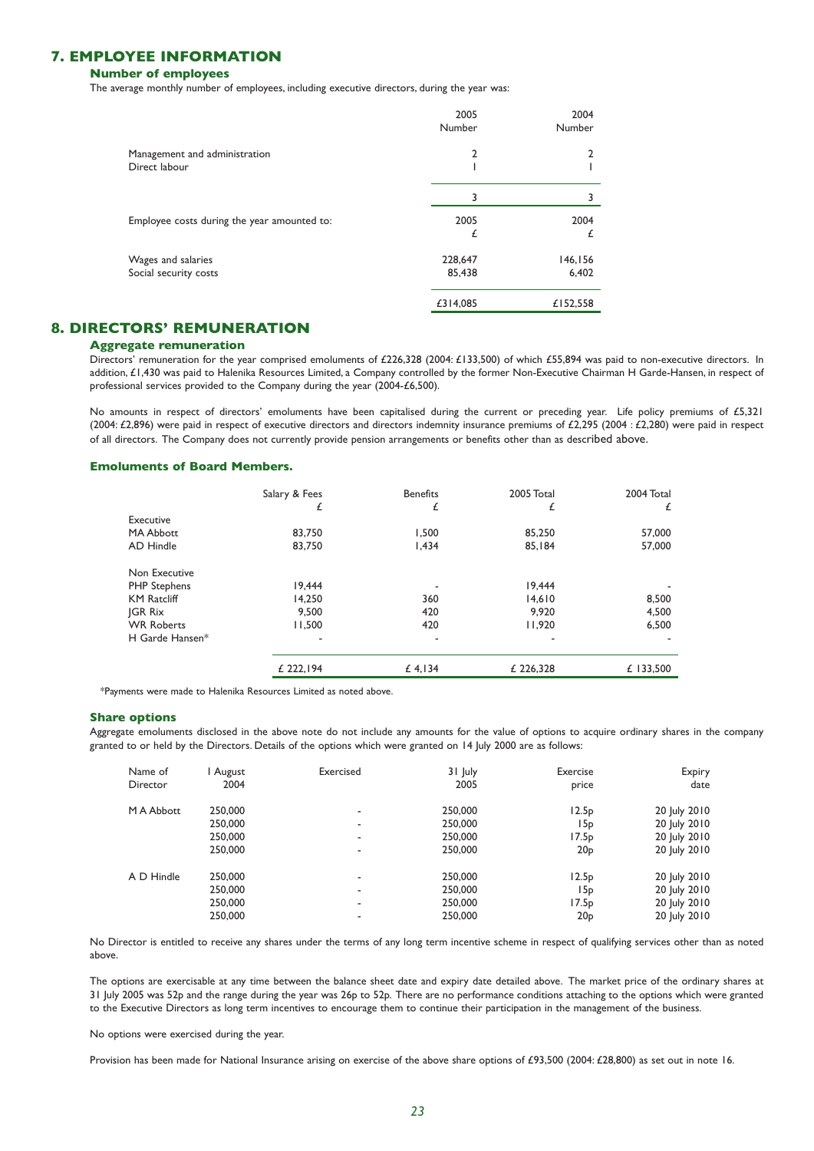## **7. EMPLOYEE INFORMATION**

#### **Number of employees**

The average monthly number of employees, including executive directors, during the year was:

|                                             | 2005<br>Number | 2004<br>Number |
|---------------------------------------------|----------------|----------------|
| Management and administration               | 2              |                |
| Direct labour                               |                |                |
|                                             | 3              |                |
| Employee costs during the year amounted to: | 2005           | 2004           |
|                                             | £              | £              |
| Wages and salaries                          | 228,647        | 146,156        |
| Social security costs                       | 85,438         | 6,402          |
|                                             | £314,085       | £152,558       |

## **8. DIRECTORS' REMUNERATION**

#### **Aggregate remuneration**

Directors' remuneration for the year comprised emoluments of £226,328 (2004: £133,500) of which £55,894 was paid to non-executive directors. In addition, £1,430 was paid to Halenika Resources Limited, a Company controlled by the former Non-Executive Chairman H Garde-Hansen, in respect of professional services provided to the Company during the year (2004-£6,500).

No amounts in respect of directors' emoluments have been capitalised during the current or preceding year. Life policy premiums of £5,321 (2004: £2,896) were paid in respect of executive directors and directors indemnity insurance premiums of £2,295 (2004 : £2,280) were paid in respect of all directors. The Company does not currently provide pension arrangements or benefits other than as described above.

#### **Emoluments of Board Members.**

|                     | Salary & Fees | <b>Benefits</b> | 2005 Total | 2004 Total |
|---------------------|---------------|-----------------|------------|------------|
|                     | £             | £               | £          | £          |
| Executive           |               |                 |            |            |
| <b>MA Abbott</b>    | 83,750        | 1.500           | 85,250     | 57,000     |
| AD Hindle           | 83,750        | 1,434           | 85,184     | 57,000     |
| Non Executive       |               |                 |            |            |
| <b>PHP Stephens</b> | 19.444        |                 | 19.444     |            |
| <b>KM Ratcliff</b>  | 14.250        | 360             | 14.610     | 8,500      |
| <b>IGR Rix</b>      | 9.500         | 420             | 9.920      | 4,500      |
| <b>WR Roberts</b>   | 11,500        | 420             | 11,920     | 6,500      |
| H Garde Hansen*     | ٠             | ٠               |            |            |
|                     | £ 222.194     | £ 4,134         | £ 226.328  | £ 133,500  |

\*Payments were made to Halenika Resources Limited as noted above.

#### **Share options**

Aggregate emoluments disclosed in the above note do not include any amounts for the value of options to acquire ordinary shares in the company granted to or held by the Directors. Details of the options which were granted on 14 July 2000 are as follows:

| Name of<br>Director | August<br>2004 | Exercised                | 31 July<br>2005 | Exercise<br>price | Expiry<br>date |
|---------------------|----------------|--------------------------|-----------------|-------------------|----------------|
| M A Abbott          | 250,000        | ۰                        | 250,000         | 12.5 <sub>p</sub> | 20 July 2010   |
|                     | 250,000        | ۰                        | 250,000         | 15 <sub>p</sub>   | 20 July 2010   |
|                     | 250,000        | -                        | 250,000         | 17.5p             | 20 July 2010   |
|                     | 250,000        |                          | 250,000         | 20 <sub>P</sub>   | 20 July 2010   |
| A D Hindle          | 250,000        | -                        | 250,000         | 12.5 <sub>p</sub> | 20 July 2010   |
|                     | 250,000        | -                        | 250,000         | 15 <sub>p</sub>   | 20 July 2010   |
|                     | 250,000        | $\overline{\phantom{a}}$ | 250,000         | 17.5p             | 20 July 2010   |
|                     | 250,000        |                          | 250,000         | 20 <sub>P</sub>   | 20 July 2010   |

No Director is entitled to receive any shares under the terms of any long term incentive scheme in respect of qualifying services other than as noted above.

The options are exercisable at any time between the balance sheet date and expiry date detailed above. The market price of the ordinary shares at 31 July 2005 was 52p and the range during the year was 26p to 52p. There are no performance conditions attaching to the options which were granted to the Executive Directors as long term incentives to encourage them to continue their participation in the management of the business.

No options were exercised during the year.

Provision has been made for National Insurance arising on exercise of the above share options of £93,500 (2004: £28,800) as set out in note 16.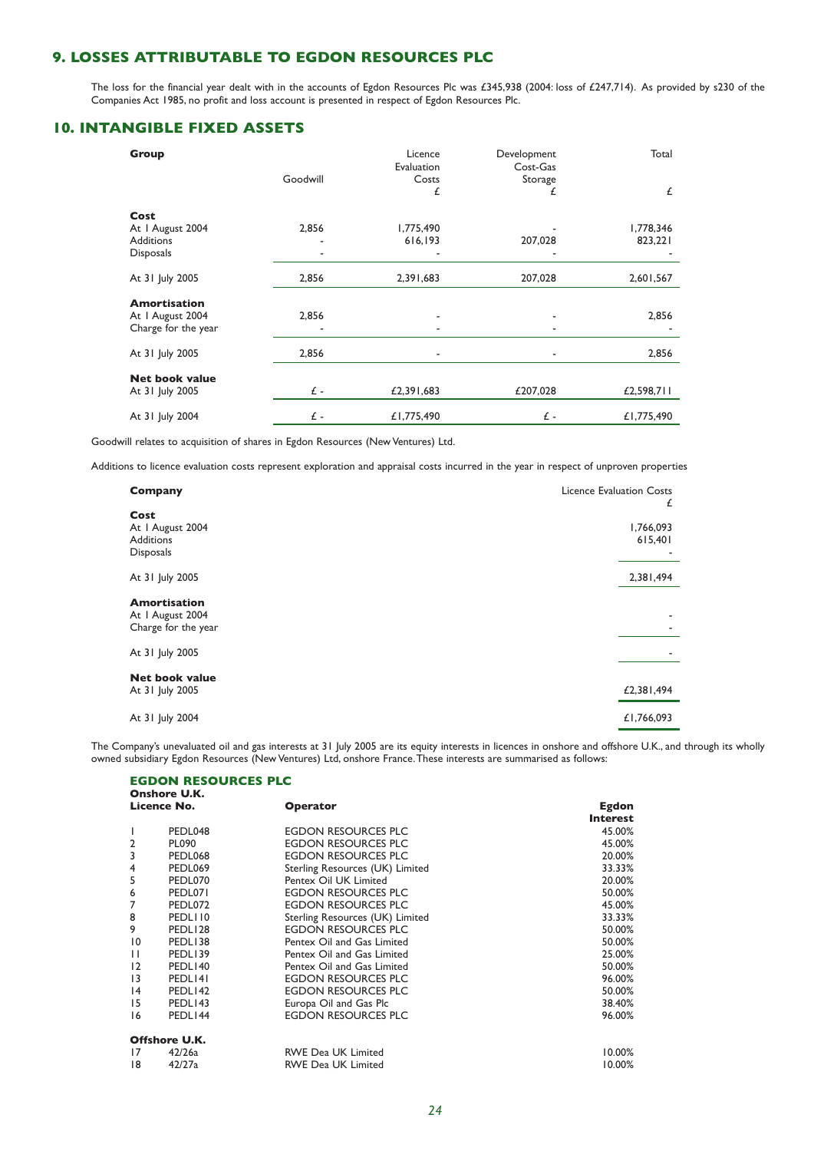## **9. LOSSES ATTRIBUTABLE TO EGDON RESOURCES PLC**

The loss for the financial year dealt with in the accounts of Egdon Resources Plc was £345,938 (2004: loss of £247,714). As provided by s230 of the Companies Act 1985, no profit and loss account is presented in respect of Egdon Resources Plc.

## **10. INTANGIBLE FIXED ASSETS**

| Group                 | Goodwill | Licence<br>Evaluation<br>Costs | Development<br>Cost-Gas<br>Storage | Total      |
|-----------------------|----------|--------------------------------|------------------------------------|------------|
|                       |          | £                              | £                                  | £          |
| Cost                  |          |                                |                                    |            |
| At I August 2004      | 2,856    | 1,775,490                      |                                    | 1,778,346  |
| <b>Additions</b>      |          | 616,193                        | 207,028                            | 823,221    |
| <b>Disposals</b>      |          |                                |                                    |            |
| At 31 July 2005       | 2,856    | 2,391,683                      | 207,028                            | 2,601,567  |
| <b>Amortisation</b>   |          |                                |                                    |            |
| At I August 2004      | 2,856    |                                |                                    | 2,856      |
| Charge for the year   |          | ۰                              |                                    |            |
| At 31 July 2005       | 2,856    | ٠                              |                                    | 2,856      |
| <b>Net book value</b> |          |                                |                                    |            |
| At 31 July 2005       | £-       | £2,391,683                     | £207,028                           | £2,598,711 |
| At 31 July 2004       | £-       | £1,775,490                     | £ -                                | £1,775,490 |

Goodwill relates to acquisition of shares in Egdon Resources (New Ventures) Ltd.

Additions to licence evaluation costs represent exploration and appraisal costs incurred in the year in respect of unproven properties

| <b>Company</b>                                                   | <b>Licence Evaluation Costs</b><br>£ |
|------------------------------------------------------------------|--------------------------------------|
| Cost<br>At I August 2004<br><b>Additions</b><br><b>Disposals</b> | 1,766,093<br>615,401                 |
| At 31 July 2005                                                  | 2,381,494                            |
| <b>Amortisation</b><br>At I August 2004<br>Charge for the year   | ۰                                    |
| At 31 July 2005                                                  |                                      |
| <b>Net book value</b><br>At 31 July 2005                         | £2,381,494                           |
| At 31 July 2004                                                  | £1,766,093                           |

The Company's unevaluated oil and gas interests at 31 July 2005 are its equity interests in licences in onshore and offshore U.K., and through its wholly owned subsidiary Egdon Resources (New Ventures) Ltd, onshore France.These interests are summarised as follows:

|                 | <b>EGDON RESOURCES PLC</b><br><b>Onshore U.K.</b> |                                 |                 |
|-----------------|---------------------------------------------------|---------------------------------|-----------------|
|                 | Licence No.                                       | <b>Operator</b>                 | Egdon           |
|                 |                                                   |                                 | <b>Interest</b> |
|                 | PEDL048                                           | EGDON RESOURCES PLC             | 45.00%          |
| 2               | PL090                                             | <b>EGDON RESOURCES PLC</b>      | 45.00%          |
| 3               | PEDL068                                           | <b>EGDON RESOURCES PLC</b>      | 20.00%          |
| 4               | PEDL069                                           | Sterling Resources (UK) Limited | 33.33%          |
| 5               | PEDL070                                           | Pentex Oil UK Limited           | 20.00%          |
| 6               | PEDL071                                           | <b>EGDON RESOURCES PLC</b>      | 50.00%          |
| 7               | PEDL072                                           | EGDON RESOURCES PLC             | 45.00%          |
| 8               | PEDLI10                                           | Sterling Resources (UK) Limited | 33.33%          |
| 9               | PEDL128                                           | <b>EGDON RESOURCES PLC</b>      | 50.00%          |
| $\overline{10}$ | PEDL138                                           | Pentex Oil and Gas Limited      | 50.00%          |
| $\mathbf{H}$    | PEDL139                                           | Pentex Oil and Gas Limited      | 25.00%          |
| 12              | PEDL140                                           | Pentex Oil and Gas Limited      | 50.00%          |
| $\overline{13}$ | PEDL <sub>141</sub>                               | EGDON RESOURCES PLC             | 96.00%          |
| 4               | PEDL142                                           | <b>EGDON RESOURCES PLC</b>      | 50.00%          |
| 15              | PEDL143                                           | Europa Oil and Gas Plc          | 38.40%          |
| 16              | PEDL144                                           | EGDON RESOURCES PLC             | 96.00%          |
|                 | Offshore U.K.                                     |                                 |                 |
| 17              | 42/26a                                            | <b>RWE Dea UK Limited</b>       | $10.00\%$       |
| 18              | 42/27a                                            | <b>RWE Dea UK Limited</b>       | 10.00%          |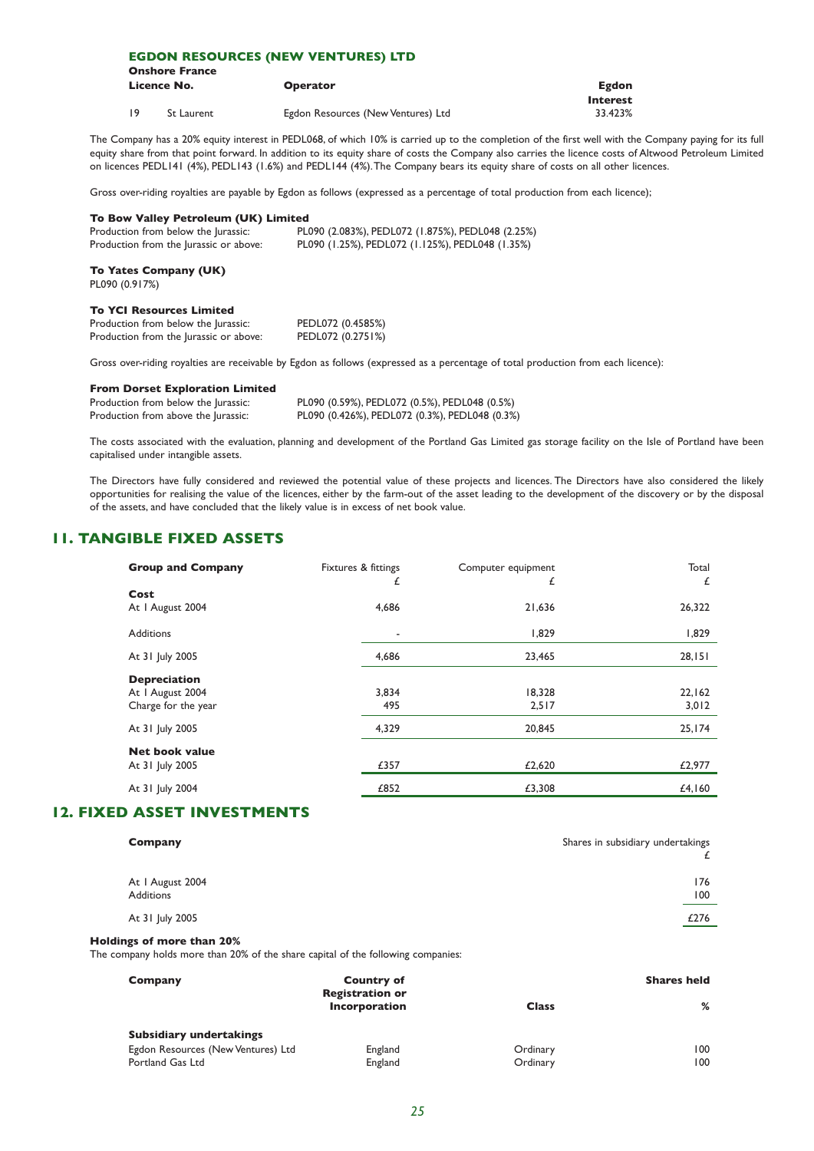### **EGDON RESOURCES (NEW VENTURES) LTD**

|      | <b>Onshore France</b> |                                    |                 |
|------|-----------------------|------------------------------------|-----------------|
|      | Licence No.           | <b>Operator</b>                    | <b>Egdon</b>    |
|      |                       |                                    | <b>Interest</b> |
| - 19 | St Laurent            | Egdon Resources (New Ventures) Ltd | 33.423%         |

The Company has a 20% equity interest in PEDL068, of which 10% is carried up to the completion of the first well with the Company paying for its full equity share from that point forward. In addition to its equity share of costs the Company also carries the licence costs of Altwood Petroleum Limited on licences PEDL141 (4%), PEDL143 (1.6%) and PEDL144 (4%).The Company bears its equity share of costs on all other licences.

Gross over-riding royalties are payable by Egdon as follows (expressed as a percentage of total production from each licence);

#### **To Bow Valley Petroleum (UK) Limited**

| .<br>Production from below the Jurassic: | PL090 (2.083%), PEDL072 (1.875%), PEDL048 (2.25%) |
|------------------------------------------|---------------------------------------------------|
| Production from the Jurassic or above:   | PL090 (1.25%), PEDL072 (1.125%), PEDL048 (1.35%)  |

#### **To Yates Company (UK)** PL090 (0.917%)

#### **To YCI Resources Limited**

| Production from below the Jurassic:    | PEDL072 (0.4585%) |
|----------------------------------------|-------------------|
| Production from the Jurassic or above: | PEDL072 (0.2751%) |

Gross over-riding royalties are receivable by Egdon as follows (expressed as a percentage of total production from each licence):

#### **From Dorset Exploration Limited**

| Production from below the Jurassic: |  |  |
|-------------------------------------|--|--|
| Production from above the Jurassic: |  |  |

PL090 (0.59%), PEDL072 (0.5%), PEDL048 (0.5%) PL090 (0.426%), PEDL072 (0.3%), PEDL048 (0.3%)

The costs associated with the evaluation, planning and development of the Portland Gas Limited gas storage facility on the Isle of Portland have been capitalised under intangible assets.

The Directors have fully considered and reviewed the potential value of these projects and licences. The Directors have also considered the likely opportunities for realising the value of the licences, either by the farm-out of the asset leading to the development of the discovery or by the disposal of the assets, and have concluded that the likely value is in excess of net book value.

## **11. TANGIBLE FIXED ASSETS**

| <b>Group and Company</b>                                       | Fixtures & fittings<br>£ | Computer equipment<br>£ | Total<br>£      |
|----------------------------------------------------------------|--------------------------|-------------------------|-----------------|
| Cost<br>At I August 2004                                       | 4,686                    | 21,636                  | 26,322          |
| <b>Additions</b>                                               | $\overline{\phantom{a}}$ | 1,829                   | 1,829           |
| At 31 July 2005                                                | 4,686                    | 23,465                  | 28,151          |
| <b>Depreciation</b><br>At I August 2004<br>Charge for the year | 3,834<br>495             | 18,328<br>2,517         | 22,162<br>3,012 |
| At 31 July 2005                                                | 4,329                    | 20,845                  | 25,174          |
| <b>Net book value</b><br>At 31 July 2005                       | £357                     | £2,620                  | £2,977          |
| At 31 July 2004                                                | £852                     | £3,308                  | £4,160          |

## **12. FIXED ASSET INVESTMENTS**

| Company                       | Shares in subsidiary undertakings |
|-------------------------------|-----------------------------------|
| At I August 2004<br>Additions | 176<br>100                        |
| At 31 July 2005               | £276<br><u>— 1</u>                |
|                               |                                   |

#### **Holdings of more than 20%**

The company holds more than 20% of the share capital of the following companies:

| Company                            | <b>Country of</b><br><b>Registration or</b> |              | <b>Shares held</b> |
|------------------------------------|---------------------------------------------|--------------|--------------------|
|                                    | Incorporation                               | <b>Class</b> | %                  |
| <b>Subsidiary undertakings</b>     |                                             |              |                    |
| Egdon Resources (New Ventures) Ltd | England                                     | Ordinary     | 100                |
| Portland Gas Ltd                   | England                                     | Ordinary     | 100                |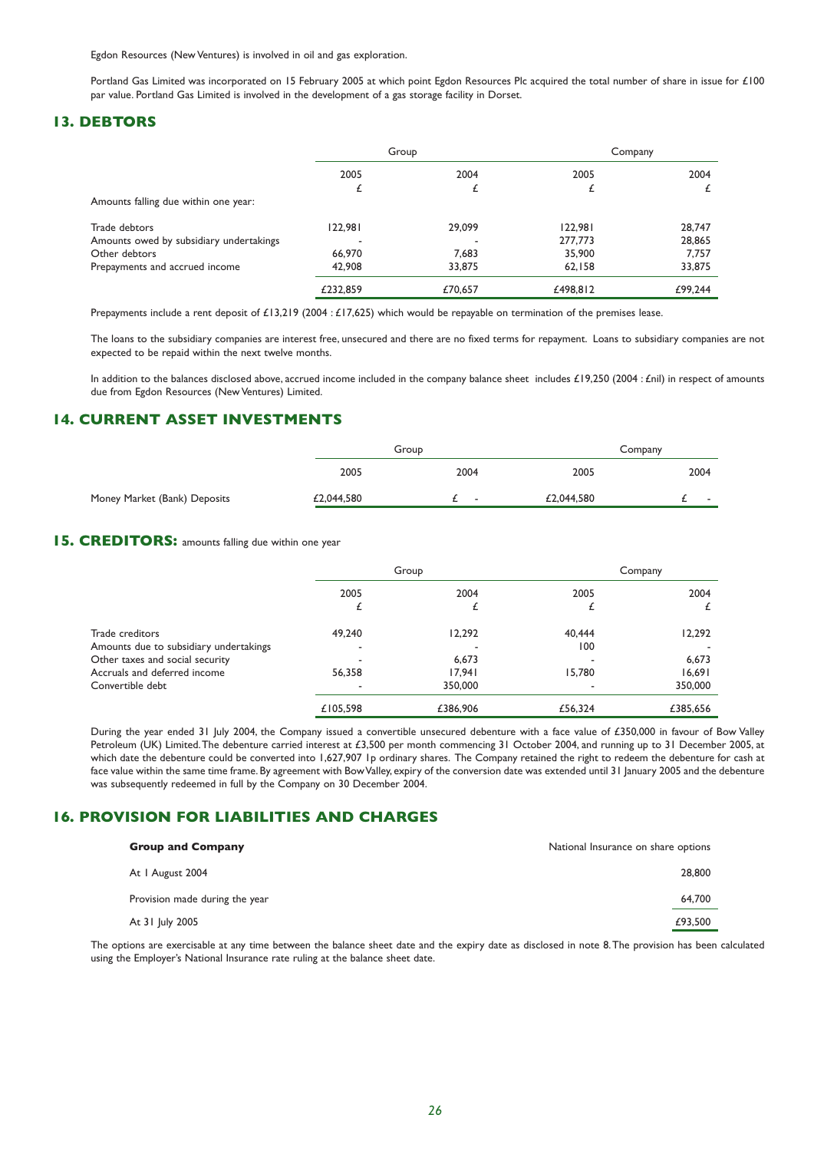Egdon Resources (New Ventures) is involved in oil and gas exploration.

Portland Gas Limited was incorporated on 15 February 2005 at which point Egdon Resources Plc acquired the total number of share in issue for £100 par value. Portland Gas Limited is involved in the development of a gas storage facility in Dorset.

## **13. DEBTORS**

|                                         | Group    |         | Company  |         |
|-----------------------------------------|----------|---------|----------|---------|
|                                         | 2005     | 2004    | 2005     | 2004    |
|                                         |          |         |          |         |
| Amounts falling due within one year:    |          |         |          |         |
| Trade debtors                           | 122,981  | 29,099  | 122.981  | 28,747  |
| Amounts owed by subsidiary undertakings |          |         | 277,773  | 28,865  |
| Other debtors                           | 66,970   | 7.683   | 35,900   | 7.757   |
| Prepayments and accrued income          | 42,908   | 33,875  | 62,158   | 33,875  |
|                                         | £232.859 | £70.657 | £498.812 | £99,244 |

Prepayments include a rent deposit of £13,219 (2004 : £17,625) which would be repayable on termination of the premises lease.

The loans to the subsidiary companies are interest free, unsecured and there are no fixed terms for repayment. Loans to subsidiary companies are not expected to be repaid within the next twelve months.

In addition to the balances disclosed above, accrued income included in the company balance sheet includes £19,250 (2004 : £nil) in respect of amounts due from Egdon Resources (New Ventures) Limited.

## **14. CURRENT ASSET INVESTMENTS**

|                              | Group      |                          | Company    |  |        |  |
|------------------------------|------------|--------------------------|------------|--|--------|--|
|                              | 2005       | 2004                     | 2005       |  | 2004   |  |
| Money Market (Bank) Deposits | £2,044,580 | $\overline{\phantom{a}}$ | £2,044,580 |  | $\sim$ |  |

## **15. CREDITORS:** amounts falling due within one year

|                                        |          | Group    |         | Company  |
|----------------------------------------|----------|----------|---------|----------|
|                                        | 2005     | 2004     | 2005    | 2004     |
|                                        |          |          |         |          |
| Trade creditors                        | 49,240   | 12,292   | 40.444  | 12,292   |
| Amounts due to subsidiary undertakings |          |          | 100     |          |
| Other taxes and social security        |          | 6.673    |         | 6,673    |
| Accruals and deferred income           | 56,358   | 17.941   | 15,780  | 16,691   |
| Convertible debt                       |          | 350,000  |         | 350,000  |
|                                        | £105.598 | £386,906 | £56,324 | £385.656 |

During the year ended 31 July 2004, the Company issued a convertible unsecured debenture with a face value of £350,000 in favour of Bow Valley Petroleum (UK) Limited.The debenture carried interest at £3,500 per month commencing 31 October 2004, and running up to 31 December 2005, at which date the debenture could be converted into 1,627,907 1p ordinary shares. The Company retained the right to redeem the debenture for cash at face value within the same time frame. By agreement with Bow Valley, expiry of the conversion date was extended until 31 January 2005 and the debenture was subsequently redeemed in full by the Company on 30 December 2004.

## **16. PROVISION FOR LIABILITIES AND CHARGES**

| <b>Group and Company</b>       | National Insurance on share options |
|--------------------------------|-------------------------------------|
| At I August 2004               | 28,800                              |
| Provision made during the year | 64,700                              |
| At 31 July 2005                | £93.500                             |

The options are exercisable at any time between the balance sheet date and the expiry date as disclosed in note 8.The provision has been calculated using the Employer's National Insurance rate ruling at the balance sheet date.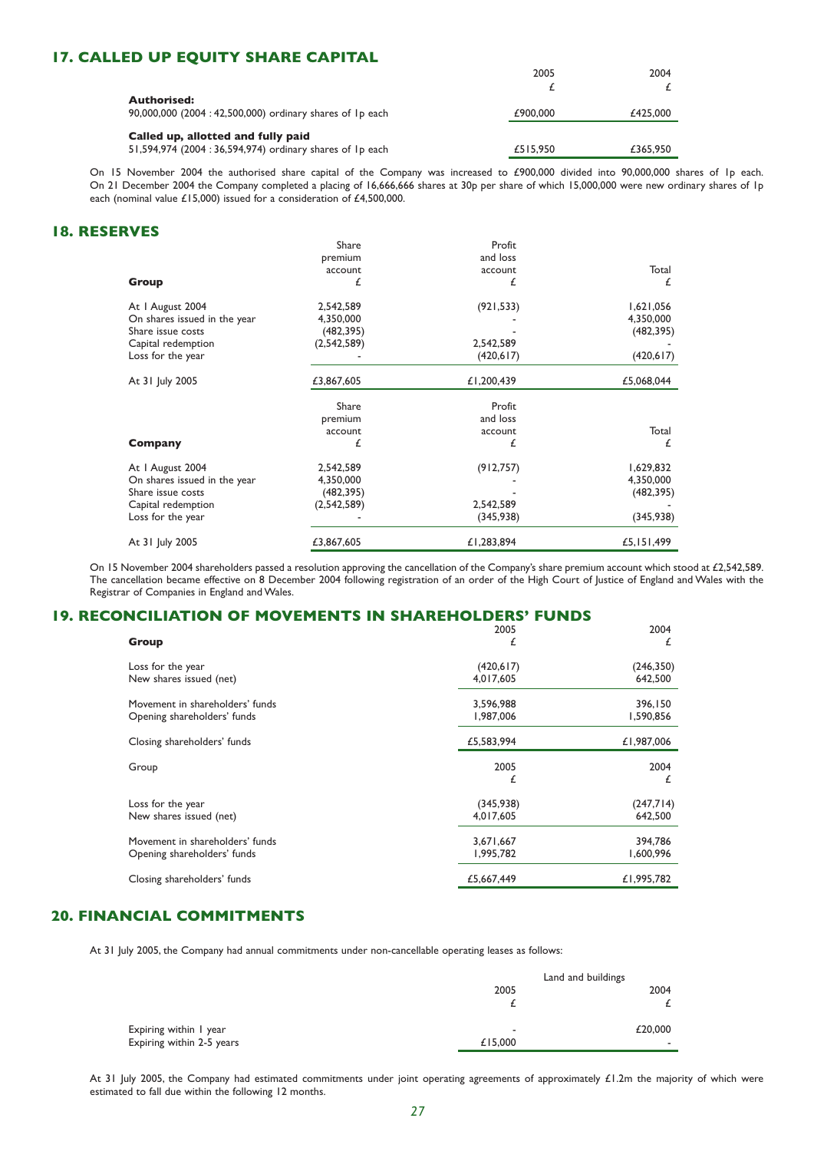## **17. CALLED UP EQUITY SHARE CAPITAL**

|                                                         | 2005     | 2004     |
|---------------------------------------------------------|----------|----------|
|                                                         |          |          |
| <b>Authorised:</b>                                      |          |          |
| 90,000,000 (2004:42,500,000) ordinary shares of Ip each | £900,000 | £425,000 |
| Called up, allotted and fully paid                      |          |          |
|                                                         |          |          |
| 51,594,974 (2004:36,594,974) ordinary shares of 1p each | £515,950 | £365,950 |

On 15 November 2004 the authorised share capital of the Company was increased to £900,000 divided into 90,000,000 shares of 1p each. On 21 December 2004 the Company completed a placing of 16,666,666 shares at 30p per share of which 15,000,000 were new ordinary shares of 1p each (nominal value £15,000) issued for a consideration of £4,500,000.

## **18. RESERVES**

|                              | Share       | Profit     |            |
|------------------------------|-------------|------------|------------|
|                              | premium     | and loss   |            |
|                              | account     | account    | Total      |
| Group                        | £           | £          | £          |
| At I August 2004             | 2,542,589   | (921, 533) | 1,621,056  |
| On shares issued in the year | 4,350,000   |            | 4,350,000  |
| Share issue costs            | (482, 395)  |            | (482, 395) |
| Capital redemption           | (2,542,589) | 2,542,589  |            |
| Loss for the year            |             | (420, 617) | (420,617)  |
| At 31 July 2005              | £3,867,605  | £1,200,439 | £5,068,044 |
|                              | Share       | Profit     |            |
|                              | premium     | and loss   |            |
|                              | account     | account    | Total      |
| Company                      | £           | £          | £          |
| At I August 2004             | 2,542,589   | (912, 757) | 1,629,832  |
| On shares issued in the year | 4,350,000   |            | 4,350,000  |
| Share issue costs            | (482, 395)  |            | (482, 395) |
| Capital redemption           | (2,542,589) | 2,542,589  |            |
| Loss for the year            |             | (345,938)  | (345,938)  |
| At 31 July 2005              | £3,867,605  | £1,283,894 | £5,151,499 |

On 15 November 2004 shareholders passed a resolution approving the cancellation of the Company's share premium account which stood at £2,542,589. The cancellation became effective on 8 December 2004 following registration of an order of the High Court of Justice of England and Wales with the Registrar of Companies in England and Wales.

## **19. RECONCILIATION OF MOVEMENTS IN SHAREHOLDERS' FUNDS**

| Group                           | 2005<br>£  | 2004<br>£  |
|---------------------------------|------------|------------|
| Loss for the year               | (420, 617) | (246, 350) |
| New shares issued (net)         | 4,017,605  | 642,500    |
| Movement in shareholders' funds | 3,596,988  | 396,150    |
| Opening shareholders' funds     | 1,987,006  | 1,590,856  |
| Closing shareholders' funds     | £5,583,994 | £1,987,006 |
| Group                           | 2005<br>£  | 2004<br>£  |
| Loss for the year               | (345,938)  | (247,714)  |
| New shares issued (net)         | 4,017,605  | 642,500    |
| Movement in shareholders' funds | 3,671,667  | 394,786    |
| Opening shareholders' funds     | 1,995,782  | 1,600,996  |
| Closing shareholders' funds     | £5,667,449 | £1,995,782 |

## **20. FINANCIAL COMMITMENTS**

At 31 July 2005, the Company had annual commitments under non-cancellable operating leases as follows:

|                           | Land and buildings |         |
|---------------------------|--------------------|---------|
|                           | 2005               | 2004    |
|                           |                    |         |
| Expiring within I year    | -                  | £20,000 |
| Expiring within 2-5 years | £15,000            | ۰       |

At 31 July 2005, the Company had estimated commitments under joint operating agreements of approximately £1.2m the majority of which were estimated to fall due within the following 12 months.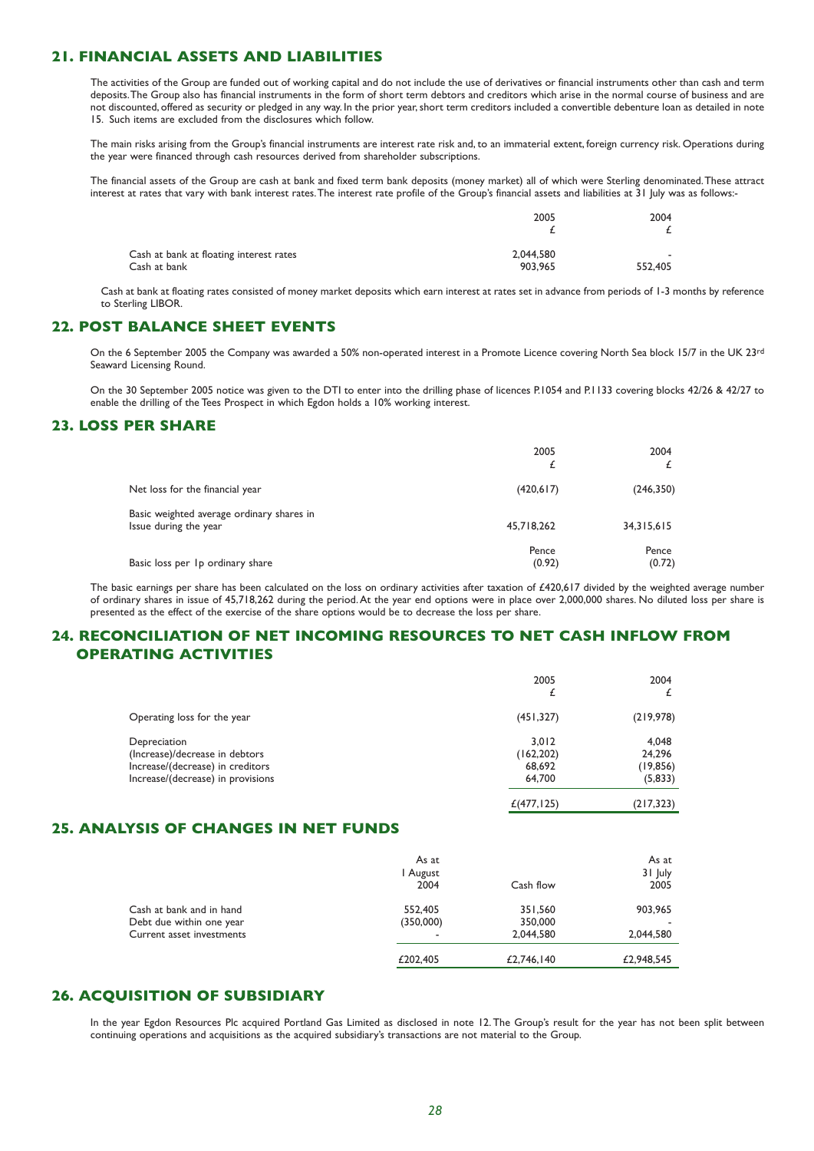## **21. FINANCIAL ASSETS AND LIABILITIES**

The activities of the Group are funded out of working capital and do not include the use of derivatives or financial instruments other than cash and term deposits.The Group also has financial instruments in the form of short term debtors and creditors which arise in the normal course of business and are not discounted, offered as security or pledged in any way. In the prior year, short term creditors included a convertible debenture loan as detailed in note 15. Such items are excluded from the disclosures which follow.

The main risks arising from the Group's financial instruments are interest rate risk and, to an immaterial extent, foreign currency risk. Operations during the year were financed through cash resources derived from shareholder subscriptions.

The financial assets of the Group are cash at bank and fixed term bank deposits (money market) all of which were Sterling denominated.These attract interest at rates that vary with bank interest rates.The interest rate profile of the Group's financial assets and liabilities at 31 July was as follows:-

|                                         | 2005      | 2004    |  |
|-----------------------------------------|-----------|---------|--|
|                                         |           |         |  |
| Cash at bank at floating interest rates | 2.044.580 | . .     |  |
| Cash at bank                            | 903.965   | 552,405 |  |

Cash at bank at floating rates consisted of money market deposits which earn interest at rates set in advance from periods of 1-3 months by reference to Sterling LIBOR.

## **22. POST BALANCE SHEET EVENTS**

On the 6 September 2005 the Company was awarded a 50% non-operated interest in a Promote Licence covering North Sea block 15/7 in the UK 23<sup>rd</sup> Seaward Licensing Round.

On the 30 September 2005 notice was given to the DTI to enter into the drilling phase of licences P.1054 and P.1133 covering blocks 42/26 & 42/27 to enable the drilling of the Tees Prospect in which Egdon holds a 10% working interest.

## **23. LOSS PER SHARE**

|                                                                    | 2005<br>£       | 2004            |
|--------------------------------------------------------------------|-----------------|-----------------|
| Net loss for the financial year                                    | (420, 617)      | (246, 350)      |
| Basic weighted average ordinary shares in<br>Issue during the year | 45,718,262      | 34, 315, 615    |
| Basic loss per 1p ordinary share                                   | Pence<br>(0.92) | Pence<br>(0.72) |

The basic earnings per share has been calculated on the loss on ordinary activities after taxation of £420,617 divided by the weighted average number of ordinary shares in issue of 45,718,262 during the period.At the year end options were in place over 2,000,000 shares. No diluted loss per share is presented as the effect of the exercise of the share options would be to decrease the loss per share.

## **24. RECONCILIATION OF NET INCOMING RESOURCES TO NET CASH INFLOW FROM OPERATING ACTIVITIES**

|                                                                                                                         | 2005<br>£                               | 2004                                     |
|-------------------------------------------------------------------------------------------------------------------------|-----------------------------------------|------------------------------------------|
| Operating loss for the year                                                                                             | (451, 327)                              | (219, 978)                               |
| Depreciation<br>(Increase)/decrease in debtors<br>Increase/(decrease) in creditors<br>Increase/(decrease) in provisions | 3.012<br>(162, 202)<br>68,692<br>64,700 | 4,048<br>24,296<br>(19, 856)<br>(5, 833) |
|                                                                                                                         | £(477, 125)                             | (217, 323)                               |

## **25. ANALYSIS OF CHANGES IN NET FUNDS**

|                           | As at<br>l August<br>2004 | Cash flow  | As at<br>31 July<br>2005 |
|---------------------------|---------------------------|------------|--------------------------|
| Cash at bank and in hand  | 552,405                   | 351,560    | 903,965                  |
| Debt due within one year  | (350,000)                 | 350,000    |                          |
| Current asset investments | ٠                         | 2.044.580  | 2.044.580                |
|                           | £202,405                  | £2,746,140 | £2,948,545               |

## **26. ACQUISITION OF SUBSIDIARY**

In the year Egdon Resources Plc acquired Portland Gas Limited as disclosed in note 12.The Group's result for the year has not been split between continuing operations and acquisitions as the acquired subsidiary's transactions are not material to the Group.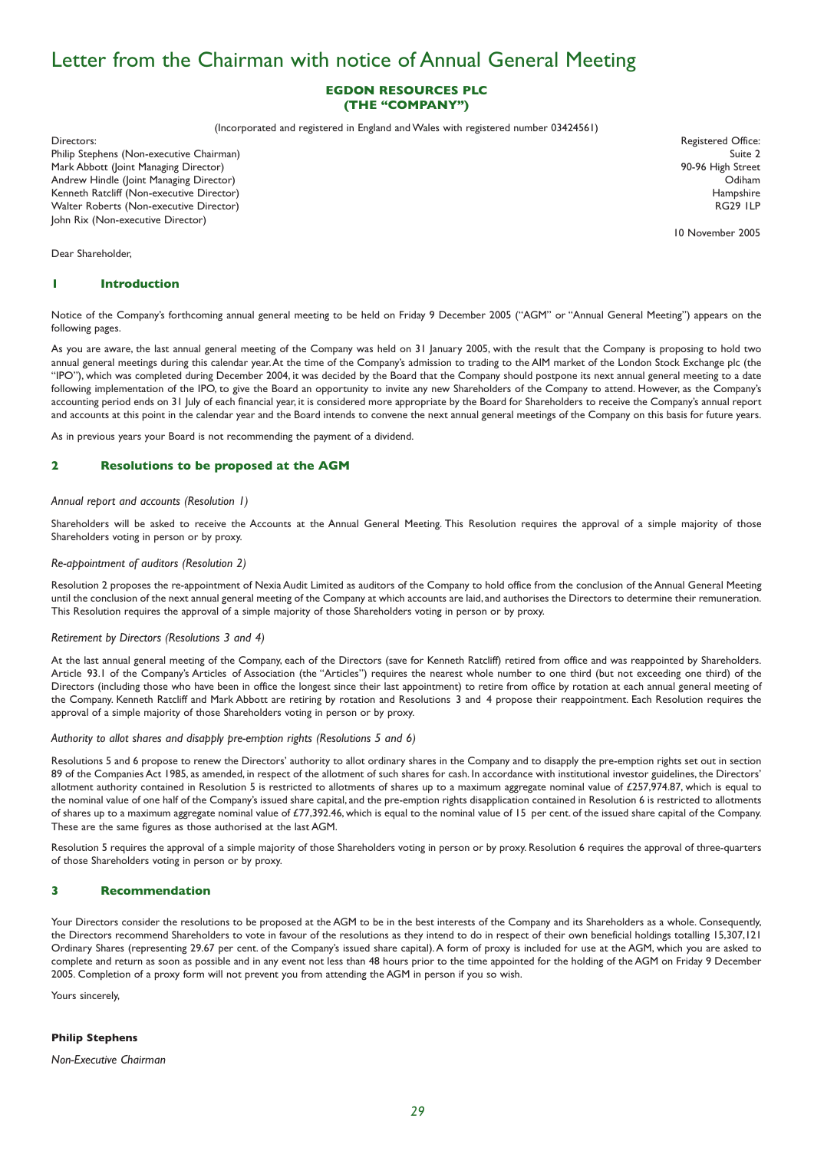## Letter from the Chairman with notice of Annual General Meeting

### **EGDON RESOURCES PLC (THE "COMPANY")**

(Incorporated and registered in England and Wales with registered number 03424561)

Directors: Registered Office: Philip Stephens (Non-executive Chairman) Suite 2 Mark Abbott (Joint Managing Director) 90-96 High Street Andrew Hindle (Joint Managing Director) Odiham Kenneth Ratcliff (Non-executive Director) Walter Roberts (Non-executive Director) RG29 1LP John Rix (Non-executive Director)

Dear Shareholder,

#### **1 Introduction**

Notice of the Company's forthcoming annual general meeting to be held on Friday 9 December 2005 ("AGM" or "Annual General Meeting") appears on the following pages.

As you are aware, the last annual general meeting of the Company was held on 31 January 2005, with the result that the Company is proposing to hold two annual general meetings during this calendar year.At the time of the Company's admission to trading to the AIM market of the London Stock Exchange plc (the "IPO"), which was completed during December 2004, it was decided by the Board that the Company should postpone its next annual general meeting to a date following implementation of the IPO, to give the Board an opportunity to invite any new Shareholders of the Company to attend. However, as the Company's accounting period ends on 31 July of each financial year, it is considered more appropriate by the Board for Shareholders to receive the Company's annual report and accounts at this point in the calendar year and the Board intends to convene the next annual general meetings of the Company on this basis for future years.

As in previous years your Board is not recommending the payment of a dividend.

#### **2 Resolutions to be proposed at the AGM**

#### *Annual report and accounts (Resolution 1)*

Shareholders will be asked to receive the Accounts at the Annual General Meeting. This Resolution requires the approval of a simple majority of those Shareholders voting in person or by proxy.

#### *Re-appointment of auditors (Resolution 2)*

Resolution 2 proposes the re-appointment of Nexia Audit Limited as auditors of the Company to hold office from the conclusion of the Annual General Meeting until the conclusion of the next annual general meeting of the Company at which accounts are laid, and authorises the Directors to determine their remuneration. This Resolution requires the approval of a simple majority of those Shareholders voting in person or by proxy.

#### *Retirement by Directors (Resolutions 3 and 4)*

At the last annual general meeting of the Company, each of the Directors (save for Kenneth Ratcliff) retired from office and was reappointed by Shareholders. Article 93.1 of the Company's Articles of Association (the "Articles") requires the nearest whole number to one third (but not exceeding one third) of the Directors (including those who have been in office the longest since their last appointment) to retire from office by rotation at each annual general meeting of the Company. Kenneth Ratcliff and Mark Abbott are retiring by rotation and Resolutions 3 and 4 propose their reappointment. Each Resolution requires the approval of a simple majority of those Shareholders voting in person or by proxy.

#### *Authority to allot shares and disapply pre-emption rights (Resolutions 5 and 6)*

Resolutions 5 and 6 propose to renew the Directors' authority to allot ordinary shares in the Company and to disapply the pre-emption rights set out in section 89 of the Companies Act 1985, as amended, in respect of the allotment of such shares for cash. In accordance with institutional investor guidelines, the Directors' allotment authority contained in Resolution 5 is restricted to allotments of shares up to a maximum aggregate nominal value of £257,974.87, which is equal to the nominal value of one half of the Company's issued share capital, and the pre-emption rights disapplication contained in Resolution 6 is restricted to allotments of shares up to a maximum aggregate nominal value of £77,392.46, which is equal to the nominal value of 15 per cent. of the issued share capital of the Company. These are the same figures as those authorised at the last AGM.

Resolution 5 requires the approval of a simple majority of those Shareholders voting in person or by proxy. Resolution 6 requires the approval of three-quarters of those Shareholders voting in person or by proxy.

#### **3 Recommendation**

Your Directors consider the resolutions to be proposed at the AGM to be in the best interests of the Company and its Shareholders as a whole. Consequently, the Directors recommend Shareholders to vote in favour of the resolutions as they intend to do in respect of their own beneficial holdings totalling 15,307,121 Ordinary Shares (representing 29.67 per cent. of the Company's issued share capital).A form of proxy is included for use at the AGM, which you are asked to complete and return as soon as possible and in any event not less than 48 hours prior to the time appointed for the holding of the AGM on Friday 9 December 2005. Completion of a proxy form will not prevent you from attending the AGM in person if you so wish.

Yours sincerely,

#### **Philip Stephens**

*Non-Executive Chairman*

10 November 2005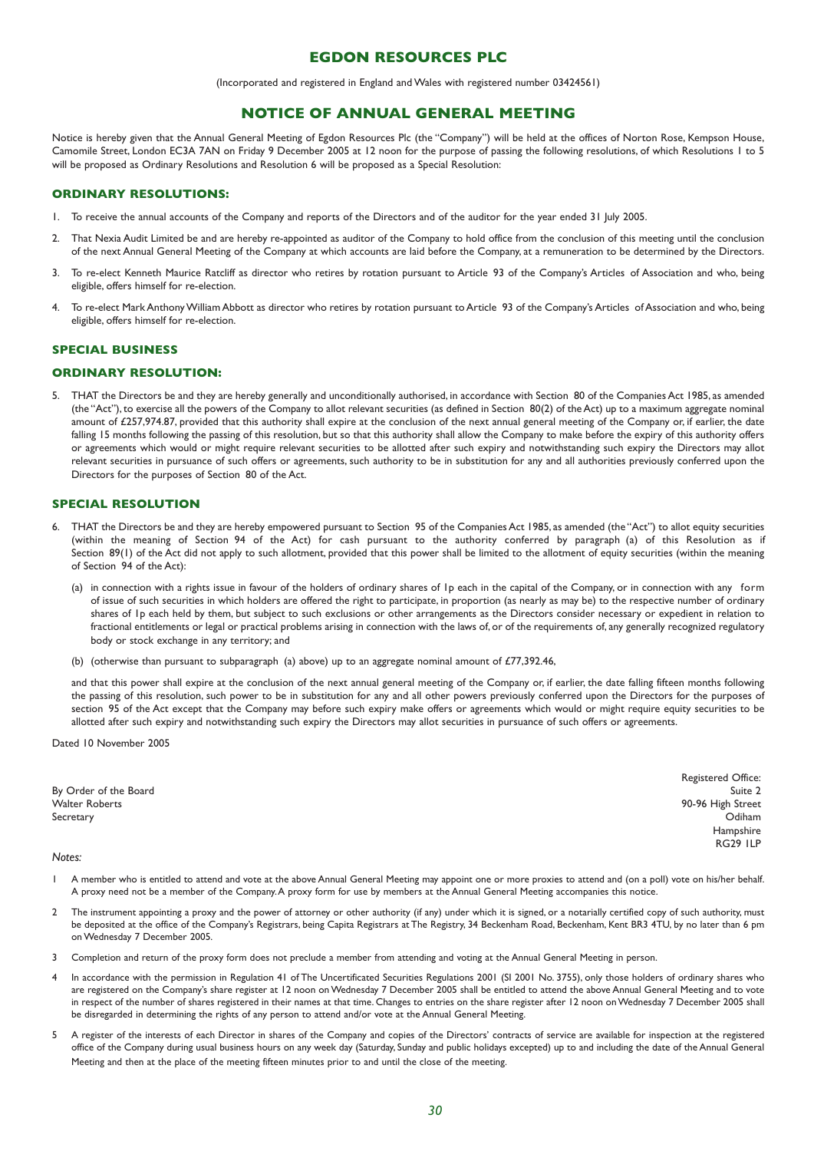### **EGDON RESOURCES PLC**

(Incorporated and registered in England and Wales with registered number 03424561)

### **NOTICE OF ANNUAL GENERAL MEETING**

Notice is hereby given that the Annual General Meeting of Egdon Resources Plc (the "Company") will be held at the offices of Norton Rose, Kempson House, Camomile Street, London EC3A 7AN on Friday 9 December 2005 at 12 noon for the purpose of passing the following resolutions, of which Resolutions 1 to 5 will be proposed as Ordinary Resolutions and Resolution 6 will be proposed as a Special Resolution:

### **ORDINARY RESOLUTIONS:**

- 1. To receive the annual accounts of the Company and reports of the Directors and of the auditor for the year ended 31 July 2005.
- 2. That Nexia Audit Limited be and are hereby re-appointed as auditor of the Company to hold office from the conclusion of this meeting until the conclusion of the next Annual General Meeting of the Company at which accounts are laid before the Company, at a remuneration to be determined by the Directors.
- 3. To re-elect Kenneth Maurice Ratcliff as director who retires by rotation pursuant to Article 93 of the Company's Articles of Association and who, being eligible, offers himself for re-election.
- 4. To re-elect Mark Anthony William Abbott as director who retires by rotation pursuant to Article 93 of the Company's Articles of Association and who, being eligible, offers himself for re-election.

### **SPECIAL BUSINESS**

#### **ORDINARY RESOLUTION:**

5. THAT the Directors be and they are hereby generally and unconditionally authorised, in accordance with Section 80 of the Companies Act 1985, as amended (the "Act"), to exercise all the powers of the Company to allot relevant securities (as defined in Section 80(2) of the Act) up to a maximum aggregate nominal amount of £257,974.87, provided that this authority shall expire at the conclusion of the next annual general meeting of the Company or, if earlier, the date falling 15 months following the passing of this resolution, but so that this authority shall allow the Company to make before the expiry of this authority offers or agreements which would or might require relevant securities to be allotted after such expiry and notwithstanding such expiry the Directors may allot relevant securities in pursuance of such offers or agreements, such authority to be in substitution for any and all authorities previously conferred upon the Directors for the purposes of Section 80 of the Act.

#### **SPECIAL RESOLUTION**

- 6. THAT the Directors be and they are hereby empowered pursuant to Section 95 of the Companies Act 1985, as amended (the "Act") to allot equity securities (within the meaning of Section 94 of the Act) for cash pursuant to the authority conferred by paragraph (a) of this Resolution as if Section 89(1) of the Act did not apply to such allotment, provided that this power shall be limited to the allotment of equity securities (within the meaning of Section 94 of the Act):
	- (a) in connection with a rights issue in favour of the holders of ordinary shares of 1p each in the capital of the Company, or in connection with any form of issue of such securities in which holders are offered the right to participate, in proportion (as nearly as may be) to the respective number of ordinary shares of 1p each held by them, but subject to such exclusions or other arrangements as the Directors consider necessary or expedient in relation to fractional entitlements or legal or practical problems arising in connection with the laws of, or of the requirements of, any generally recognized regulatory body or stock exchange in any territory; and
	- (b) (otherwise than pursuant to subparagraph (a) above) up to an aggregate nominal amount of £77,392.46,

and that this power shall expire at the conclusion of the next annual general meeting of the Company or, if earlier, the date falling fifteen months following the passing of this resolution, such power to be in substitution for any and all other powers previously conferred upon the Directors for the purposes of section 95 of the Act except that the Company may before such expiry make offers or agreements which would or might require equity securities to be allotted after such expiry and notwithstanding such expiry the Directors may allot securities in pursuance of such offers or agreements.

Dated 10 November 2005

By Order of the Board Suite 2 Walter Roberts 90-96 High Street Secretary Odiham

Registered Office: Hampshire RG29 1LP

#### *Notes:*

- A member who is entitled to attend and vote at the above Annual General Meeting may appoint one or more proxies to attend and (on a poll) vote on his/her behalf. A proxy need not be a member of the Company.A proxy form for use by members at the Annual General Meeting accompanies this notice.
- 2 The instrument appointing a proxy and the power of attorney or other authority (if any) under which it is signed, or a notarially certified copy of such authority, must be deposited at the office of the Company's Registrars, being Capita Registrars at The Registry, 34 Beckenham Road, Beckenham, Kent BR3 4TU, by no later than 6 pm on Wednesday 7 December 2005.
- 3 Completion and return of the proxy form does not preclude a member from attending and voting at the Annual General Meeting in person.
- 4 In accordance with the permission in Regulation 41 of The Uncertificated Securities Regulations 2001 (SI 2001 No. 3755), only those holders of ordinary shares who are registered on the Company's share register at 12 noon on Wednesday 7 December 2005 shall be entitled to attend the above Annual General Meeting and to vote in respect of the number of shares registered in their names at that time. Changes to entries on the share register after 12 noon on Wednesday 7 December 2005 shall be disregarded in determining the rights of any person to attend and/or vote at the Annual General Meeting.
- 5 A register of the interests of each Director in shares of the Company and copies of the Directors' contracts of service are available for inspection at the registered office of the Company during usual business hours on any week day (Saturday, Sunday and public holidays excepted) up to and including the date of the Annual General Meeting and then at the place of the meeting fifteen minutes prior to and until the close of the meeting.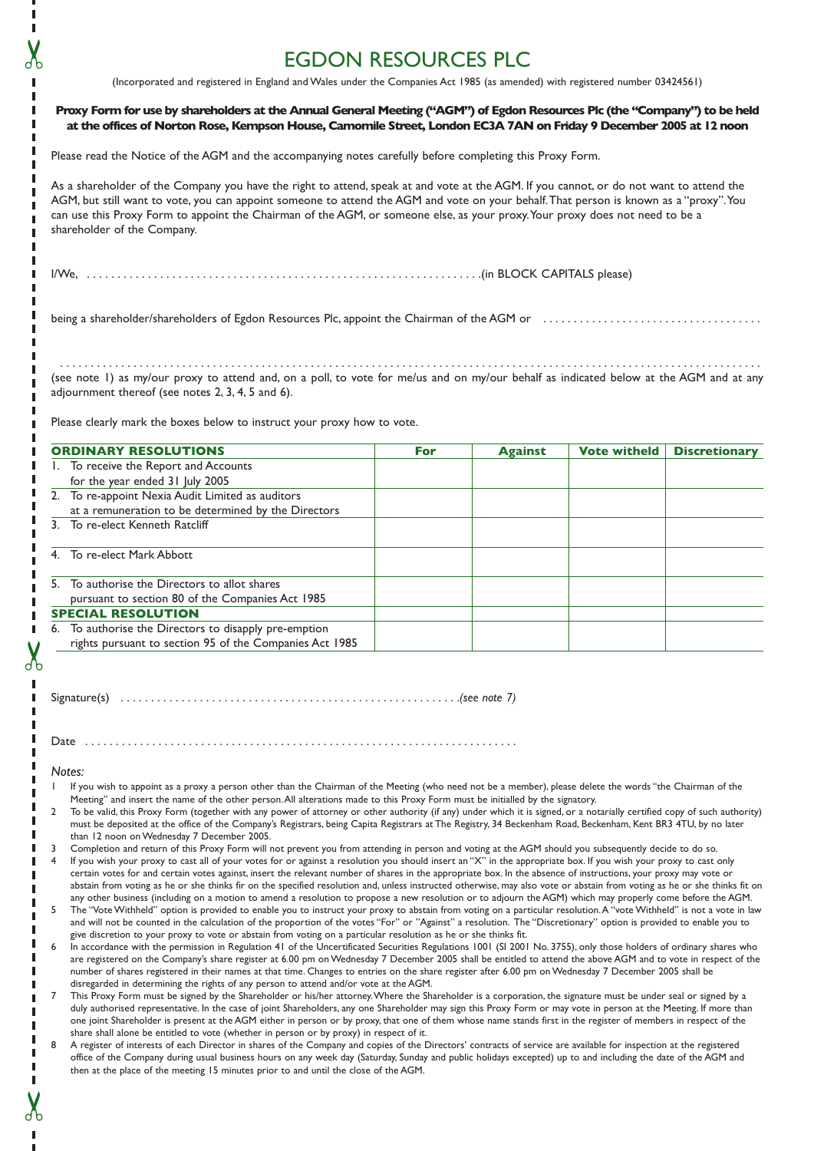# EGDON RESOURCES PLC

(Incorporated and registered in England and Wales under the Companies Act 1985 (as amended) with registered number 03424561)

|             | Proxy Form for use by shareholders at the Annual General Meeting ("AGM") of Egdon Resources Plc (the "Company") to be held<br>at the offices of Norton Rose, Kempson House, Camomile Street, London EC3A 7AN on Friday 9 December 2005 at 12 noon                                                                                                                                                                                                                                                                                                                                                                                                                                                                                                                                                                                         |     |                |                     |                      |
|-------------|-------------------------------------------------------------------------------------------------------------------------------------------------------------------------------------------------------------------------------------------------------------------------------------------------------------------------------------------------------------------------------------------------------------------------------------------------------------------------------------------------------------------------------------------------------------------------------------------------------------------------------------------------------------------------------------------------------------------------------------------------------------------------------------------------------------------------------------------|-----|----------------|---------------------|----------------------|
|             | Please read the Notice of the AGM and the accompanying notes carefully before completing this Proxy Form.                                                                                                                                                                                                                                                                                                                                                                                                                                                                                                                                                                                                                                                                                                                                 |     |                |                     |                      |
|             | As a shareholder of the Company you have the right to attend, speak at and vote at the AGM. If you cannot, or do not want to attend the<br>AGM, but still want to vote, you can appoint someone to attend the AGM and vote on your behalf. That person is known as a "proxy". You<br>can use this Proxy Form to appoint the Chairman of the AGM, or someone else, as your proxy. Your proxy does not need to be a<br>shareholder of the Company.                                                                                                                                                                                                                                                                                                                                                                                          |     |                |                     |                      |
|             |                                                                                                                                                                                                                                                                                                                                                                                                                                                                                                                                                                                                                                                                                                                                                                                                                                           |     |                |                     |                      |
|             |                                                                                                                                                                                                                                                                                                                                                                                                                                                                                                                                                                                                                                                                                                                                                                                                                                           |     |                |                     |                      |
|             | (see note 1) as my/our proxy to attend and, on a poll, to vote for me/us and on my/our behalf as indicated below at the AGM and at any<br>adjournment thereof (see notes 2, 3, 4, 5 and 6).<br>Please clearly mark the boxes below to instruct your proxy how to vote.                                                                                                                                                                                                                                                                                                                                                                                                                                                                                                                                                                    |     |                |                     |                      |
|             |                                                                                                                                                                                                                                                                                                                                                                                                                                                                                                                                                                                                                                                                                                                                                                                                                                           |     |                |                     |                      |
|             | <b>ORDINARY RESOLUTIONS</b><br>I. To receive the Report and Accounts                                                                                                                                                                                                                                                                                                                                                                                                                                                                                                                                                                                                                                                                                                                                                                      | For | <b>Against</b> | <b>Vote witheld</b> | <b>Discretionary</b> |
|             | for the year ended 31 July 2005                                                                                                                                                                                                                                                                                                                                                                                                                                                                                                                                                                                                                                                                                                                                                                                                           |     |                |                     |                      |
|             | 2. To re-appoint Nexia Audit Limited as auditors<br>at a remuneration to be determined by the Directors                                                                                                                                                                                                                                                                                                                                                                                                                                                                                                                                                                                                                                                                                                                                   |     |                |                     |                      |
|             | 3. To re-elect Kenneth Ratcliff                                                                                                                                                                                                                                                                                                                                                                                                                                                                                                                                                                                                                                                                                                                                                                                                           |     |                |                     |                      |
|             | 4. To re-elect Mark Abbott                                                                                                                                                                                                                                                                                                                                                                                                                                                                                                                                                                                                                                                                                                                                                                                                                |     |                |                     |                      |
|             | 5. To authorise the Directors to allot shares<br>pursuant to section 80 of the Companies Act 1985                                                                                                                                                                                                                                                                                                                                                                                                                                                                                                                                                                                                                                                                                                                                         |     |                |                     |                      |
|             | <b>SPECIAL RESOLUTION</b>                                                                                                                                                                                                                                                                                                                                                                                                                                                                                                                                                                                                                                                                                                                                                                                                                 |     |                |                     |                      |
|             | 6. To authorise the Directors to disapply pre-emption<br>rights pursuant to section 95 of the Companies Act 1985                                                                                                                                                                                                                                                                                                                                                                                                                                                                                                                                                                                                                                                                                                                          |     |                |                     |                      |
| Date        |                                                                                                                                                                                                                                                                                                                                                                                                                                                                                                                                                                                                                                                                                                                                                                                                                                           |     |                |                     |                      |
| Notes:<br>2 | If you wish to appoint as a proxy a person other than the Chairman of the Meeting (who need not be a member), please delete the words "the Chairman of the<br>Meeting" and insert the name of the other person. All alterations made to this Proxy Form must be initialled by the signatory.<br>To be valid, this Proxy Form (together with any power of attorney or other authority (if any) under which it is signed, or a notarially certified copy of such authority)<br>must be deposited at the office of the Company's Registrars, being Capita Registrars at The Registry, 34 Beckenham Road, Beckenham, Kent BR3 4TU, by no later<br>than 12 noon on Wednesday 7 December 2005.                                                                                                                                                  |     |                |                     |                      |
| 3<br>4      | Completion and return of this Proxy Form will not prevent you from attending in person and voting at the AGM should you subsequently decide to do so.<br>If you wish your proxy to cast all of your votes for or against a resolution you should insert an "X" in the appropriate box. If you wish your proxy to cast only<br>certain votes for and certain votes against, insert the relevant number of shares in the appropriate box. In the absence of instructions, your proxy may vote or<br>abstain from voting as he or she thinks fir on the specified resolution and, unless instructed otherwise, may also vote or abstain from voting as he or she thinks fit on<br>any other business (including on a motion to amend a resolution to propose a new resolution or to adjourn the AGM) which may properly come before the AGM. |     |                |                     |                      |
| 5<br>6      | The "Vote Withheld" option is provided to enable you to instruct your proxy to abstain from voting on a particular resolution. A "vote Withheld" is not a vote in law<br>and will not be counted in the calculation of the proportion of the votes "For" or "Against" a resolution. The "Discretionary" option is provided to enable you to<br>give discretion to your proxy to vote or abstain from voting on a particular resolution as he or she thinks fit.<br>In accordance with the permission in Regulation 41 of the Uncertificated Securities Regulations 1001 (SI 2001 No. 3755), only those holders of ordinary shares who                                                                                                                                                                                                     |     |                |                     |                      |
|             | are registered on the Company's share register at 6.00 pm on Wednesday 7 December 2005 shall be entitled to attend the above AGM and to vote in respect of the<br>number of shares registered in their names at that time. Changes to entries on the share register after 6.00 pm on Wednesday 7 December 2005 shall be<br>disregarded in determining the rights of any person to attend and/or vote at the AGM.                                                                                                                                                                                                                                                                                                                                                                                                                          |     |                |                     |                      |
| 7           | This Proxy Form must be signed by the Shareholder or his/her attorney. Where the Shareholder is a corporation, the signature must be under seal or signed by a<br>duly authorised representative. In the case of joint Shareholders, any one Shareholder may sign this Proxy Form or may vote in person at the Meeting. If more than<br>one joint Shareholder is present at the AGM either in person or by proxy, that one of them whose name stands first in the register of members in respect of the<br>share shall alone be entitled to vote (whether in person or by proxy) in respect of it.                                                                                                                                                                                                                                        |     |                |                     |                      |
| 8           | A register of interests of each Director in shares of the Company and copies of the Directors' contracts of service are available for inspection at the registered<br>office of the Company during usual business hours on any week day (Saturday, Sunday and public holidays excepted) up to and including the date of the AGM and<br>then at the place of the meeting 15 minutes prior to and until the close of the AGM.                                                                                                                                                                                                                                                                                                                                                                                                               |     |                |                     |                      |

✂

 $\blacksquare$ 

൷

j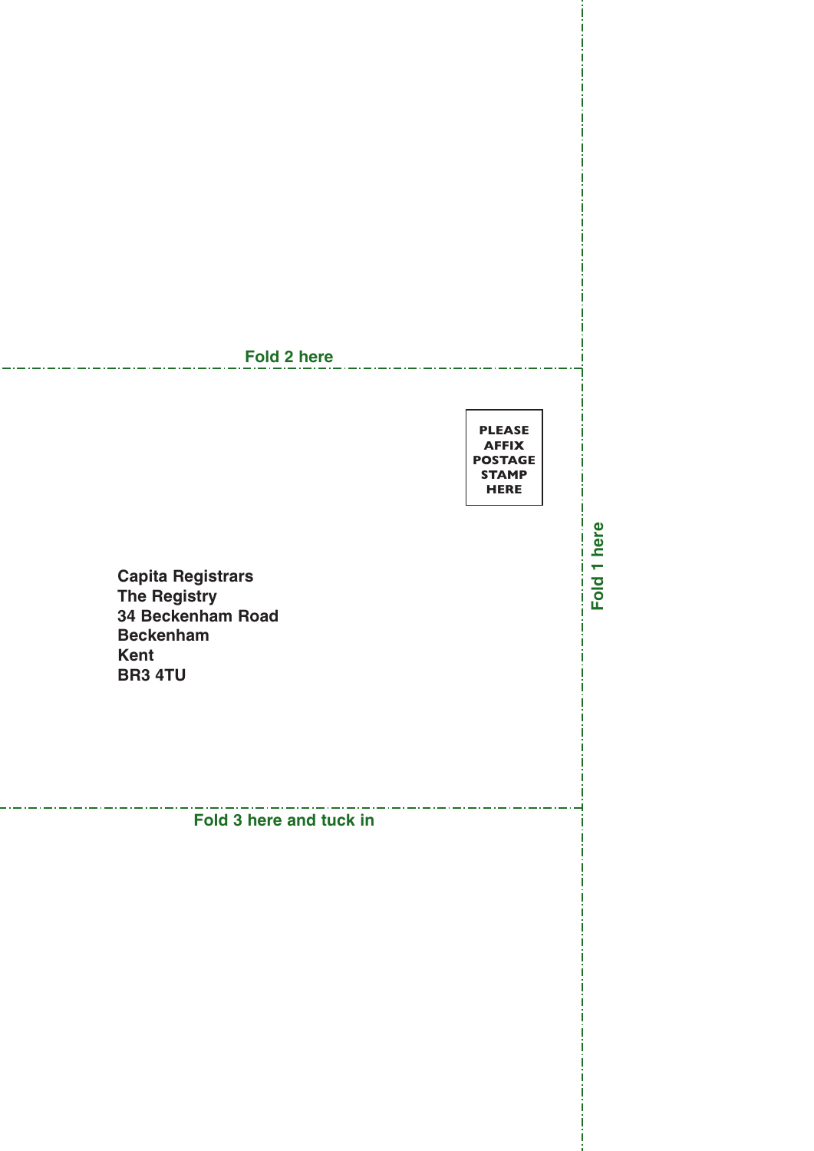